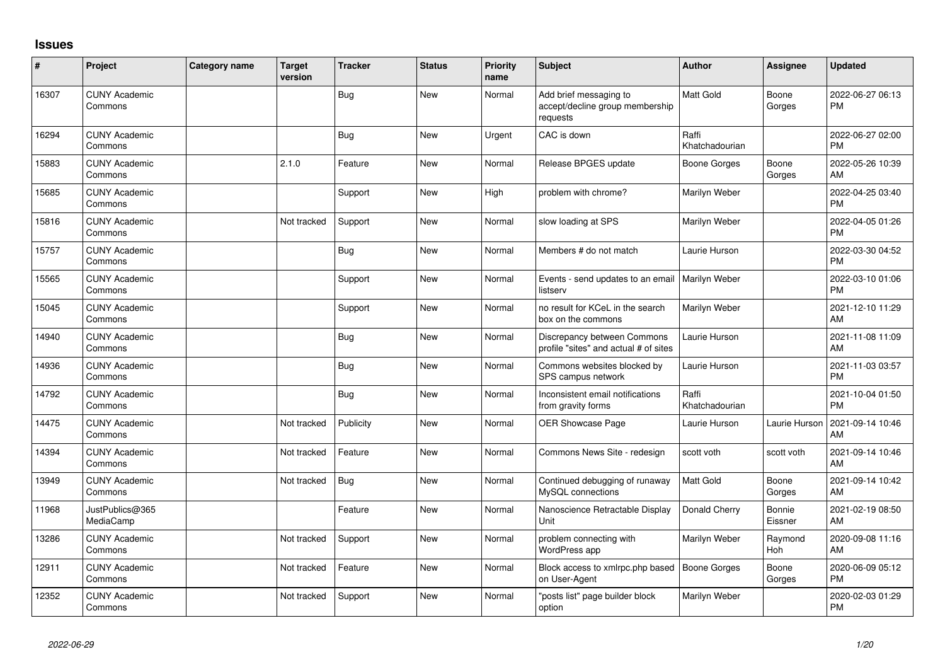## **Issues**

| #     | Project                         | <b>Category name</b> | Target<br>version | <b>Tracker</b> | <b>Status</b> | <b>Priority</b><br>name | <b>Subject</b>                                                        | <b>Author</b>           | Assignee              | <b>Updated</b>                |
|-------|---------------------------------|----------------------|-------------------|----------------|---------------|-------------------------|-----------------------------------------------------------------------|-------------------------|-----------------------|-------------------------------|
| 16307 | <b>CUNY Academic</b><br>Commons |                      |                   | <b>Bug</b>     | <b>New</b>    | Normal                  | Add brief messaging to<br>accept/decline group membership<br>requests | Matt Gold               | Boone<br>Gorges       | 2022-06-27 06:13<br><b>PM</b> |
| 16294 | <b>CUNY Academic</b><br>Commons |                      |                   | <b>Bug</b>     | <b>New</b>    | Urgent                  | CAC is down                                                           | Raffi<br>Khatchadourian |                       | 2022-06-27 02:00<br><b>PM</b> |
| 15883 | <b>CUNY Academic</b><br>Commons |                      | 2.1.0             | Feature        | <b>New</b>    | Normal                  | Release BPGES update                                                  | Boone Gorges            | Boone<br>Gorges       | 2022-05-26 10:39<br>AM        |
| 15685 | <b>CUNY Academic</b><br>Commons |                      |                   | Support        | <b>New</b>    | High                    | problem with chrome?                                                  | Marilyn Weber           |                       | 2022-04-25 03:40<br>PM        |
| 15816 | <b>CUNY Academic</b><br>Commons |                      | Not tracked       | Support        | New           | Normal                  | slow loading at SPS                                                   | Marilyn Weber           |                       | 2022-04-05 01:26<br><b>PM</b> |
| 15757 | <b>CUNY Academic</b><br>Commons |                      |                   | <b>Bug</b>     | <b>New</b>    | Normal                  | Members # do not match                                                | Laurie Hurson           |                       | 2022-03-30 04:52<br><b>PM</b> |
| 15565 | <b>CUNY Academic</b><br>Commons |                      |                   | Support        | <b>New</b>    | Normal                  | Events - send updates to an email<br>listserv                         | Marilyn Weber           |                       | 2022-03-10 01:06<br>PM        |
| 15045 | <b>CUNY Academic</b><br>Commons |                      |                   | Support        | <b>New</b>    | Normal                  | no result for KCeL in the search<br>box on the commons                | Marilyn Weber           |                       | 2021-12-10 11:29<br>AM        |
| 14940 | <b>CUNY Academic</b><br>Commons |                      |                   | Bug            | New           | Normal                  | Discrepancy between Commons<br>profile "sites" and actual # of sites  | Laurie Hurson           |                       | 2021-11-08 11:09<br>AM        |
| 14936 | <b>CUNY Academic</b><br>Commons |                      |                   | <b>Bug</b>     | <b>New</b>    | Normal                  | Commons websites blocked by<br>SPS campus network                     | Laurie Hurson           |                       | 2021-11-03 03:57<br><b>PM</b> |
| 14792 | <b>CUNY Academic</b><br>Commons |                      |                   | Bug            | <b>New</b>    | Normal                  | Inconsistent email notifications<br>from gravity forms                | Raffi<br>Khatchadourian |                       | 2021-10-04 01:50<br><b>PM</b> |
| 14475 | <b>CUNY Academic</b><br>Commons |                      | Not tracked       | Publicity      | <b>New</b>    | Normal                  | OER Showcase Page                                                     | Laurie Hurson           | Laurie Hurson         | 2021-09-14 10:46<br>AM        |
| 14394 | <b>CUNY Academic</b><br>Commons |                      | Not tracked       | Feature        | <b>New</b>    | Normal                  | Commons News Site - redesign                                          | scott voth              | scott voth            | 2021-09-14 10:46<br>AM        |
| 13949 | <b>CUNY Academic</b><br>Commons |                      | Not tracked       | <b>Bug</b>     | <b>New</b>    | Normal                  | Continued debugging of runaway<br>MySQL connections                   | Matt Gold               | Boone<br>Gorges       | 2021-09-14 10:42<br>AM        |
| 11968 | JustPublics@365<br>MediaCamp    |                      |                   | Feature        | New           | Normal                  | Nanoscience Retractable Display<br>Unit                               | Donald Cherry           | Bonnie<br>Eissner     | 2021-02-19 08:50<br>AM        |
| 13286 | <b>CUNY Academic</b><br>Commons |                      | Not tracked       | Support        | New           | Normal                  | problem connecting with<br>WordPress app                              | Marilyn Weber           | Raymond<br><b>Hoh</b> | 2020-09-08 11:16<br>AM        |
| 12911 | <b>CUNY Academic</b><br>Commons |                      | Not tracked       | Feature        | <b>New</b>    | Normal                  | Block access to xmlrpc.php based<br>on User-Agent                     | Boone Gorges            | Boone<br>Gorges       | 2020-06-09 05:12<br><b>PM</b> |
| 12352 | <b>CUNY Academic</b><br>Commons |                      | Not tracked       | Support        | <b>New</b>    | Normal                  | posts list" page builder block<br>option                              | Marilyn Weber           |                       | 2020-02-03 01:29<br>PM        |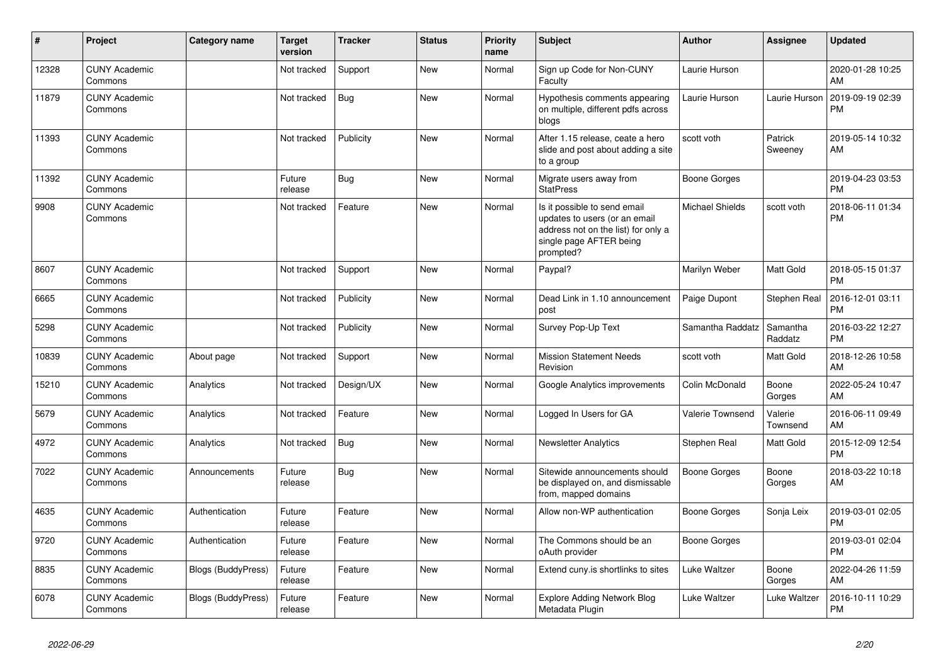| #     | Project                         | <b>Category name</b>      | Target<br>version | <b>Tracker</b> | <b>Status</b> | Priority<br>name | <b>Subject</b>                                                                                                                               | <b>Author</b>       | <b>Assignee</b>     | <b>Updated</b>                |
|-------|---------------------------------|---------------------------|-------------------|----------------|---------------|------------------|----------------------------------------------------------------------------------------------------------------------------------------------|---------------------|---------------------|-------------------------------|
| 12328 | <b>CUNY Academic</b><br>Commons |                           | Not tracked       | Support        | New           | Normal           | Sign up Code for Non-CUNY<br>Faculty                                                                                                         | Laurie Hurson       |                     | 2020-01-28 10:25<br>AM        |
| 11879 | <b>CUNY Academic</b><br>Commons |                           | Not tracked       | <b>Bug</b>     | <b>New</b>    | Normal           | Hypothesis comments appearing<br>on multiple, different pdfs across<br>blogs                                                                 | Laurie Hurson       | Laurie Hurson       | 2019-09-19 02:39<br><b>PM</b> |
| 11393 | <b>CUNY Academic</b><br>Commons |                           | Not tracked       | Publicity      | <b>New</b>    | Normal           | After 1.15 release, ceate a hero<br>slide and post about adding a site<br>to a group                                                         | scott voth          | Patrick<br>Sweeney  | 2019-05-14 10:32<br>AM        |
| 11392 | <b>CUNY Academic</b><br>Commons |                           | Future<br>release | Bug            | <b>New</b>    | Normal           | Migrate users away from<br><b>StatPress</b>                                                                                                  | <b>Boone Gorges</b> |                     | 2019-04-23 03:53<br><b>PM</b> |
| 9908  | <b>CUNY Academic</b><br>Commons |                           | Not tracked       | Feature        | <b>New</b>    | Normal           | Is it possible to send email<br>updates to users (or an email<br>address not on the list) for only a<br>single page AFTER being<br>prompted? | Michael Shields     | scott voth          | 2018-06-11 01:34<br><b>PM</b> |
| 8607  | <b>CUNY Academic</b><br>Commons |                           | Not tracked       | Support        | <b>New</b>    | Normal           | Paypal?                                                                                                                                      | Marilyn Weber       | Matt Gold           | 2018-05-15 01:37<br><b>PM</b> |
| 6665  | <b>CUNY Academic</b><br>Commons |                           | Not tracked       | Publicity      | New           | Normal           | Dead Link in 1.10 announcement<br>post                                                                                                       | Paige Dupont        | Stephen Real        | 2016-12-01 03:11<br><b>PM</b> |
| 5298  | <b>CUNY Academic</b><br>Commons |                           | Not tracked       | Publicity      | <b>New</b>    | Normal           | Survey Pop-Up Text                                                                                                                           | Samantha Raddatz    | Samantha<br>Raddatz | 2016-03-22 12:27<br><b>PM</b> |
| 10839 | <b>CUNY Academic</b><br>Commons | About page                | Not tracked       | Support        | New           | Normal           | <b>Mission Statement Needs</b><br>Revision                                                                                                   | scott voth          | Matt Gold           | 2018-12-26 10:58<br>AM        |
| 15210 | <b>CUNY Academic</b><br>Commons | Analytics                 | Not tracked       | Design/UX      | <b>New</b>    | Normal           | Google Analytics improvements                                                                                                                | Colin McDonald      | Boone<br>Gorges     | 2022-05-24 10:47<br>AM        |
| 5679  | <b>CUNY Academic</b><br>Commons | Analytics                 | Not tracked       | Feature        | <b>New</b>    | Normal           | Logged In Users for GA                                                                                                                       | Valerie Townsend    | Valerie<br>Townsend | 2016-06-11 09:49<br>AM        |
| 4972  | <b>CUNY Academic</b><br>Commons | Analytics                 | Not tracked       | Bug            | <b>New</b>    | Normal           | <b>Newsletter Analytics</b>                                                                                                                  | Stephen Real        | Matt Gold           | 2015-12-09 12:54<br><b>PM</b> |
| 7022  | <b>CUNY Academic</b><br>Commons | Announcements             | Future<br>release | Bug            | <b>New</b>    | Normal           | Sitewide announcements should<br>be displayed on, and dismissable<br>from, mapped domains                                                    | Boone Gorges        | Boone<br>Gorges     | 2018-03-22 10:18<br>AM        |
| 4635  | <b>CUNY Academic</b><br>Commons | Authentication            | Future<br>release | Feature        | <b>New</b>    | Normal           | Allow non-WP authentication                                                                                                                  | <b>Boone Gorges</b> | Sonja Leix          | 2019-03-01 02:05<br><b>PM</b> |
| 9720  | <b>CUNY Academic</b><br>Commons | Authentication            | Future<br>release | Feature        | <b>New</b>    | Normal           | The Commons should be an<br>oAuth provider                                                                                                   | <b>Boone Gorges</b> |                     | 2019-03-01 02:04<br><b>PM</b> |
| 8835  | <b>CUNY Academic</b><br>Commons | <b>Blogs (BuddyPress)</b> | Future<br>release | Feature        | <b>New</b>    | Normal           | Extend cuny is shortlinks to sites                                                                                                           | Luke Waltzer        | Boone<br>Gorges     | 2022-04-26 11:59<br>AM        |
| 6078  | <b>CUNY Academic</b><br>Commons | <b>Blogs (BuddyPress)</b> | Future<br>release | Feature        | <b>New</b>    | Normal           | <b>Explore Adding Network Blog</b><br>Metadata Plugin                                                                                        | <b>Luke Waltzer</b> | Luke Waltzer        | 2016-10-11 10:29<br><b>PM</b> |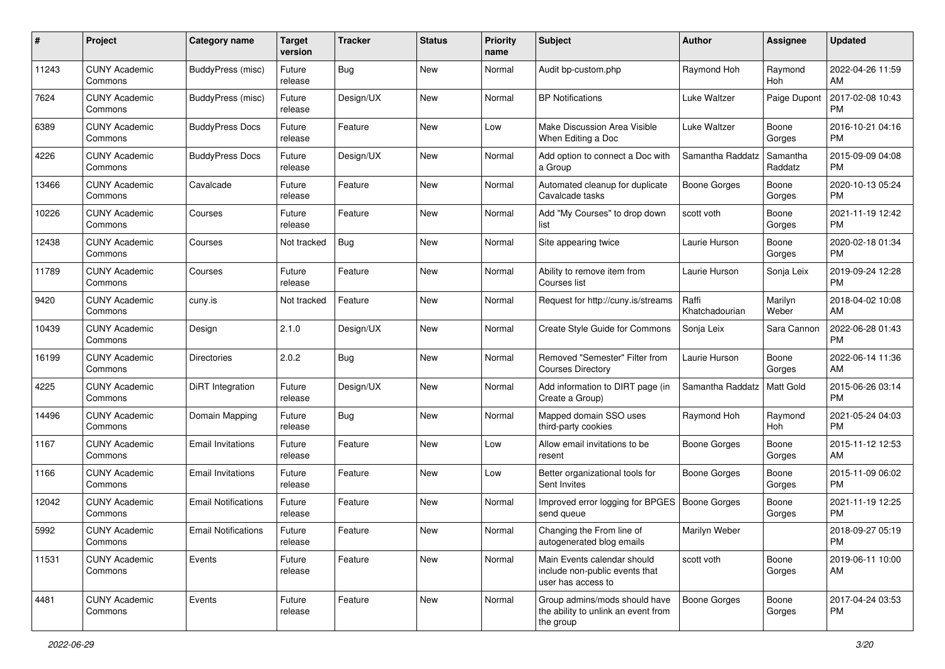| #     | Project                         | <b>Category name</b>       | <b>Target</b><br>version | <b>Tracker</b> | <b>Status</b> | <b>Priority</b><br>name | Subject                                                                             | <b>Author</b>           | <b>Assignee</b>     | <b>Updated</b>                |
|-------|---------------------------------|----------------------------|--------------------------|----------------|---------------|-------------------------|-------------------------------------------------------------------------------------|-------------------------|---------------------|-------------------------------|
| 11243 | <b>CUNY Academic</b><br>Commons | BuddyPress (misc)          | Future<br>release        | <b>Bug</b>     | New           | Normal                  | Audit bp-custom.php                                                                 | Raymond Hoh             | Raymond<br>Hoh      | 2022-04-26 11:59<br>AM        |
| 7624  | <b>CUNY Academic</b><br>Commons | <b>BuddyPress (misc)</b>   | Future<br>release        | Design/UX      | <b>New</b>    | Normal                  | <b>BP Notifications</b>                                                             | Luke Waltzer            | Paige Dupont        | 2017-02-08 10:43<br><b>PM</b> |
| 6389  | <b>CUNY Academic</b><br>Commons | <b>BuddyPress Docs</b>     | Future<br>release        | Feature        | <b>New</b>    | Low                     | Make Discussion Area Visible<br>When Editing a Doc                                  | <b>Luke Waltzer</b>     | Boone<br>Gorges     | 2016-10-21 04:16<br><b>PM</b> |
| 4226  | <b>CUNY Academic</b><br>Commons | <b>BuddyPress Docs</b>     | Future<br>release        | Design/UX      | <b>New</b>    | Normal                  | Add option to connect a Doc with<br>a Group                                         | Samantha Raddatz        | Samantha<br>Raddatz | 2015-09-09 04:08<br><b>PM</b> |
| 13466 | <b>CUNY Academic</b><br>Commons | Cavalcade                  | Future<br>release        | Feature        | <b>New</b>    | Normal                  | Automated cleanup for duplicate<br>Cavalcade tasks                                  | Boone Gorges            | Boone<br>Gorges     | 2020-10-13 05:24<br><b>PM</b> |
| 10226 | <b>CUNY Academic</b><br>Commons | Courses                    | Future<br>release        | Feature        | <b>New</b>    | Normal                  | Add "My Courses" to drop down<br>list                                               | scott voth              | Boone<br>Gorges     | 2021-11-19 12:42<br><b>PM</b> |
| 12438 | <b>CUNY Academic</b><br>Commons | Courses                    | Not tracked              | Bug            | <b>New</b>    | Normal                  | Site appearing twice                                                                | Laurie Hurson           | Boone<br>Gorges     | 2020-02-18 01:34<br><b>PM</b> |
| 11789 | <b>CUNY Academic</b><br>Commons | Courses                    | Future<br>release        | Feature        | New           | Normal                  | Ability to remove item from<br>Courses list                                         | Laurie Hurson           | Sonja Leix          | 2019-09-24 12:28<br><b>PM</b> |
| 9420  | <b>CUNY Academic</b><br>Commons | cuny.is                    | Not tracked              | Feature        | <b>New</b>    | Normal                  | Request for http://cuny.is/streams                                                  | Raffi<br>Khatchadourian | Marilyn<br>Weber    | 2018-04-02 10:08<br>AM        |
| 10439 | <b>CUNY Academic</b><br>Commons | Design                     | 2.1.0                    | Design/UX      | New           | Normal                  | Create Style Guide for Commons                                                      | Sonja Leix              | Sara Cannon         | 2022-06-28 01:43<br><b>PM</b> |
| 16199 | <b>CUNY Academic</b><br>Commons | <b>Directories</b>         | 2.0.2                    | <b>Bug</b>     | <b>New</b>    | Normal                  | Removed "Semester" Filter from<br><b>Courses Directory</b>                          | Laurie Hurson           | Boone<br>Gorges     | 2022-06-14 11:36<br>AM        |
| 4225  | <b>CUNY Academic</b><br>Commons | DiRT Integration           | Future<br>release        | Design/UX      | <b>New</b>    | Normal                  | Add information to DIRT page (in<br>Create a Group)                                 | Samantha Raddatz        | Matt Gold           | 2015-06-26 03:14<br><b>PM</b> |
| 14496 | <b>CUNY Academic</b><br>Commons | Domain Mapping             | Future<br>release        | <b>Bug</b>     | <b>New</b>    | Normal                  | Mapped domain SSO uses<br>third-party cookies                                       | Raymond Hoh             | Raymond<br>Hoh      | 2021-05-24 04:03<br><b>PM</b> |
| 1167  | <b>CUNY Academic</b><br>Commons | <b>Email Invitations</b>   | Future<br>release        | Feature        | <b>New</b>    | Low                     | Allow email invitations to be<br>resent                                             | <b>Boone Gorges</b>     | Boone<br>Gorges     | 2015-11-12 12:53<br>AM        |
| 1166  | <b>CUNY Academic</b><br>Commons | <b>Email Invitations</b>   | Future<br>release        | Feature        | <b>New</b>    | Low                     | Better organizational tools for<br>Sent Invites                                     | <b>Boone Gorges</b>     | Boone<br>Gorges     | 2015-11-09 06:02<br><b>PM</b> |
| 12042 | <b>CUNY Academic</b><br>Commons | <b>Email Notifications</b> | Future<br>release        | Feature        | <b>New</b>    | Normal                  | Improved error logging for BPGES   Boone Gorges<br>send queue                       |                         | Boone<br>Gorges     | 2021-11-19 12:25<br><b>PM</b> |
| 5992  | <b>CUNY Academic</b><br>Commons | <b>Email Notifications</b> | Future<br>release        | Feature        | <b>New</b>    | Normal                  | Changing the From line of<br>autogenerated blog emails                              | Marilyn Weber           |                     | 2018-09-27 05:19<br>PM        |
| 11531 | <b>CUNY Academic</b><br>Commons | Events                     | Future<br>release        | Feature        | New           | Normal                  | Main Events calendar should<br>include non-public events that<br>user has access to | scott voth              | Boone<br>Gorges     | 2019-06-11 10:00<br>AM        |
| 4481  | <b>CUNY Academic</b><br>Commons | Events                     | Future<br>release        | Feature        | New           | Normal                  | Group admins/mods should have<br>the ability to unlink an event from<br>the group   | <b>Boone Gorges</b>     | Boone<br>Gorges     | 2017-04-24 03:53<br><b>PM</b> |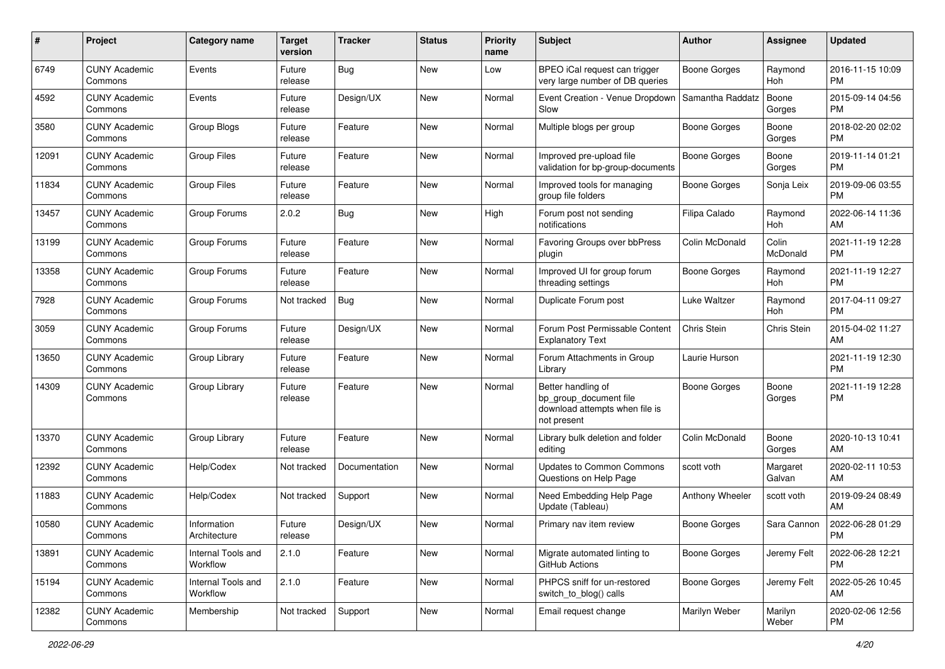| #     | Project                         | Category name                  | <b>Target</b><br>version | <b>Tracker</b> | <b>Status</b> | <b>Priority</b><br>name | Subject                                                                                       | <b>Author</b>       | <b>Assignee</b>    | <b>Updated</b>                |
|-------|---------------------------------|--------------------------------|--------------------------|----------------|---------------|-------------------------|-----------------------------------------------------------------------------------------------|---------------------|--------------------|-------------------------------|
| 6749  | <b>CUNY Academic</b><br>Commons | Events                         | Future<br>release        | <b>Bug</b>     | New           | Low                     | BPEO iCal request can trigger<br>very large number of DB queries                              | <b>Boone Gorges</b> | Raymond<br>Hoh     | 2016-11-15 10:09<br><b>PM</b> |
| 4592  | <b>CUNY Academic</b><br>Commons | Events                         | Future<br>release        | Design/UX      | New           | Normal                  | Event Creation - Venue Dropdown<br>Slow                                                       | Samantha Raddatz    | Boone<br>Gorges    | 2015-09-14 04:56<br><b>PM</b> |
| 3580  | <b>CUNY Academic</b><br>Commons | Group Blogs                    | Future<br>release        | Feature        | <b>New</b>    | Normal                  | Multiple blogs per group                                                                      | Boone Gorges        | Boone<br>Gorges    | 2018-02-20 02:02<br><b>PM</b> |
| 12091 | <b>CUNY Academic</b><br>Commons | <b>Group Files</b>             | Future<br>release        | Feature        | <b>New</b>    | Normal                  | Improved pre-upload file<br>validation for bp-group-documents                                 | <b>Boone Gorges</b> | Boone<br>Gorges    | 2019-11-14 01:21<br><b>PM</b> |
| 11834 | <b>CUNY Academic</b><br>Commons | <b>Group Files</b>             | Future<br>release        | Feature        | New           | Normal                  | Improved tools for managing<br>group file folders                                             | Boone Gorges        | Sonja Leix         | 2019-09-06 03:55<br><b>PM</b> |
| 13457 | <b>CUNY Academic</b><br>Commons | Group Forums                   | 2.0.2                    | Bug            | <b>New</b>    | High                    | Forum post not sending<br>notifications                                                       | Filipa Calado       | Raymond<br>Hoh     | 2022-06-14 11:36<br>AM        |
| 13199 | <b>CUNY Academic</b><br>Commons | Group Forums                   | Future<br>release        | Feature        | New           | Normal                  | <b>Favoring Groups over bbPress</b><br>plugin                                                 | Colin McDonald      | Colin<br>McDonald  | 2021-11-19 12:28<br><b>PM</b> |
| 13358 | <b>CUNY Academic</b><br>Commons | Group Forums                   | Future<br>release        | Feature        | New           | Normal                  | Improved UI for group forum<br>threading settings                                             | Boone Gorges        | Raymond<br>Hoh     | 2021-11-19 12:27<br><b>PM</b> |
| 7928  | <b>CUNY Academic</b><br>Commons | Group Forums                   | Not tracked              | <b>Bug</b>     | New           | Normal                  | Duplicate Forum post                                                                          | <b>Luke Waltzer</b> | Raymond<br>Hoh     | 2017-04-11 09:27<br><b>PM</b> |
| 3059  | <b>CUNY Academic</b><br>Commons | Group Forums                   | Future<br>release        | Design/UX      | <b>New</b>    | Normal                  | Forum Post Permissable Content<br><b>Explanatory Text</b>                                     | <b>Chris Stein</b>  | Chris Stein        | 2015-04-02 11:27<br>AM        |
| 13650 | <b>CUNY Academic</b><br>Commons | Group Library                  | Future<br>release        | Feature        | <b>New</b>    | Normal                  | Forum Attachments in Group<br>Library                                                         | Laurie Hurson       |                    | 2021-11-19 12:30<br><b>PM</b> |
| 14309 | <b>CUNY Academic</b><br>Commons | Group Library                  | Future<br>release        | Feature        | New           | Normal                  | Better handling of<br>bp_group_document file<br>download attempts when file is<br>not present | <b>Boone Gorges</b> | Boone<br>Gorges    | 2021-11-19 12:28<br><b>PM</b> |
| 13370 | <b>CUNY Academic</b><br>Commons | Group Library                  | Future<br>release        | Feature        | New           | Normal                  | Library bulk deletion and folder<br>editing                                                   | Colin McDonald      | Boone<br>Gorges    | 2020-10-13 10:41<br>AM        |
| 12392 | <b>CUNY Academic</b><br>Commons | Help/Codex                     | Not tracked              | Documentation  | New           | Normal                  | <b>Updates to Common Commons</b><br>Questions on Help Page                                    | scott voth          | Margaret<br>Galvan | 2020-02-11 10:53<br>AM        |
| 11883 | <b>CUNY Academic</b><br>Commons | Help/Codex                     | Not tracked              | Support        | New           | Normal                  | Need Embedding Help Page<br>Update (Tableau)                                                  | Anthony Wheeler     | scott voth         | 2019-09-24 08:49<br>AM        |
| 10580 | <b>CUNY Academic</b><br>Commons | Information<br>Architecture    | Future<br>release        | Design/UX      | New           | Normal                  | Primary nav item review                                                                       | Boone Gorges        | Sara Cannon        | 2022-06-28 01:29<br>PM        |
| 13891 | <b>CUNY Academic</b><br>Commons | Internal Tools and<br>Workflow | 2.1.0                    | Feature        | New           | Normal                  | Migrate automated linting to<br>GitHub Actions                                                | Boone Gorges        | Jeremy Felt        | 2022-06-28 12:21<br><b>PM</b> |
| 15194 | <b>CUNY Academic</b><br>Commons | Internal Tools and<br>Workflow | 2.1.0                    | Feature        | New           | Normal                  | PHPCS sniff for un-restored<br>switch_to_blog() calls                                         | Boone Gorges        | Jeremy Felt        | 2022-05-26 10:45<br>AM        |
| 12382 | <b>CUNY Academic</b><br>Commons | Membership                     | Not tracked              | Support        | New           | Normal                  | Email request change                                                                          | Marilyn Weber       | Marilyn<br>Weber   | 2020-02-06 12:56<br><b>PM</b> |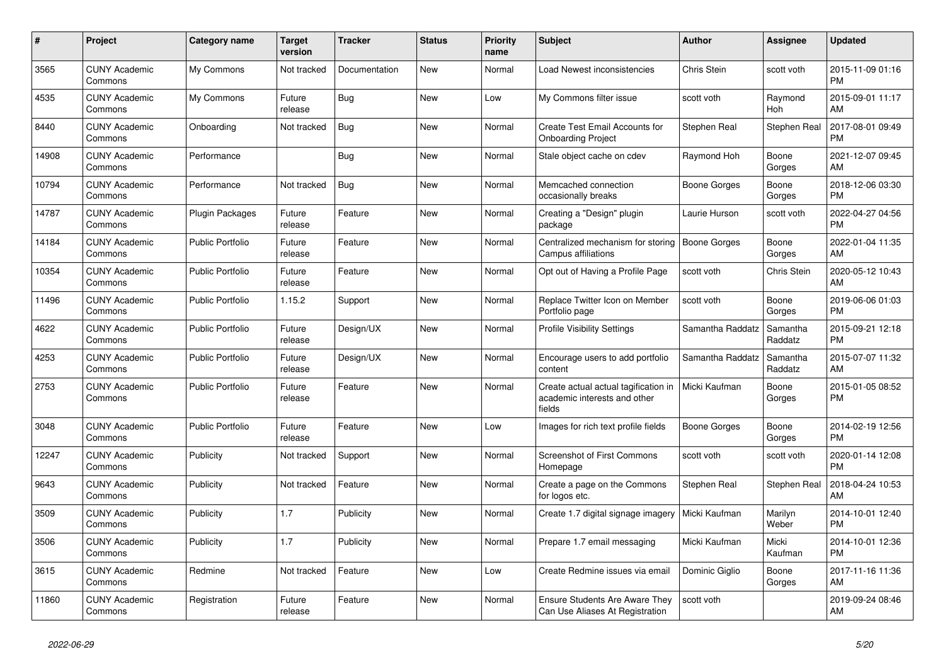| $\#$  | <b>Project</b>                  | Category name           | <b>Target</b><br>version | <b>Tracker</b> | <b>Status</b> | <b>Priority</b><br>name | <b>Subject</b>                                                                 | Author              | Assignee            | <b>Updated</b>                |
|-------|---------------------------------|-------------------------|--------------------------|----------------|---------------|-------------------------|--------------------------------------------------------------------------------|---------------------|---------------------|-------------------------------|
| 3565  | <b>CUNY Academic</b><br>Commons | My Commons              | Not tracked              | Documentation  | <b>New</b>    | Normal                  | <b>Load Newest inconsistencies</b>                                             | Chris Stein         | scott voth          | 2015-11-09 01:16<br><b>PM</b> |
| 4535  | <b>CUNY Academic</b><br>Commons | My Commons              | Future<br>release        | <b>Bug</b>     | <b>New</b>    | Low                     | My Commons filter issue                                                        | scott voth          | Raymond<br>Hoh      | 2015-09-01 11:17<br>AM        |
| 8440  | <b>CUNY Academic</b><br>Commons | Onboarding              | Not tracked              | Bug            | <b>New</b>    | Normal                  | <b>Create Test Email Accounts for</b><br><b>Onboarding Project</b>             | Stephen Real        | <b>Stephen Real</b> | 2017-08-01 09:49<br><b>PM</b> |
| 14908 | <b>CUNY Academic</b><br>Commons | Performance             |                          | <b>Bug</b>     | <b>New</b>    | Normal                  | Stale object cache on cdev                                                     | Raymond Hoh         | Boone<br>Gorges     | 2021-12-07 09:45<br>AM        |
| 10794 | <b>CUNY Academic</b><br>Commons | Performance             | Not tracked              | Bug            | <b>New</b>    | Normal                  | Memcached connection<br>occasionally breaks                                    | Boone Gorges        | Boone<br>Gorges     | 2018-12-06 03:30<br><b>PM</b> |
| 14787 | <b>CUNY Academic</b><br>Commons | Plugin Packages         | Future<br>release        | Feature        | New           | Normal                  | Creating a "Design" plugin<br>package                                          | Laurie Hurson       | scott voth          | 2022-04-27 04:56<br><b>PM</b> |
| 14184 | <b>CUNY Academic</b><br>Commons | <b>Public Portfolio</b> | Future<br>release        | Feature        | <b>New</b>    | Normal                  | Centralized mechanism for storing<br>Campus affiliations                       | <b>Boone Gorges</b> | Boone<br>Gorges     | 2022-01-04 11:35<br>AM        |
| 10354 | <b>CUNY Academic</b><br>Commons | <b>Public Portfolio</b> | Future<br>release        | Feature        | <b>New</b>    | Normal                  | Opt out of Having a Profile Page                                               | scott voth          | Chris Stein         | 2020-05-12 10:43<br>AM        |
| 11496 | <b>CUNY Academic</b><br>Commons | Public Portfolio        | 1.15.2                   | Support        | New           | Normal                  | Replace Twitter Icon on Member<br>Portfolio page                               | scott voth          | Boone<br>Gorges     | 2019-06-06 01:03<br><b>PM</b> |
| 4622  | <b>CUNY Academic</b><br>Commons | <b>Public Portfolio</b> | Future<br>release        | Design/UX      | <b>New</b>    | Normal                  | <b>Profile Visibility Settings</b>                                             | Samantha Raddatz    | Samantha<br>Raddatz | 2015-09-21 12:18<br><b>PM</b> |
| 4253  | <b>CUNY Academic</b><br>Commons | <b>Public Portfolio</b> | Future<br>release        | Design/UX      | <b>New</b>    | Normal                  | Encourage users to add portfolio<br>content                                    | Samantha Raddatz    | Samantha<br>Raddatz | 2015-07-07 11:32<br>AM        |
| 2753  | <b>CUNY Academic</b><br>Commons | <b>Public Portfolio</b> | Future<br>release        | Feature        | <b>New</b>    | Normal                  | Create actual actual tagification in<br>academic interests and other<br>fields | Micki Kaufman       | Boone<br>Gorges     | 2015-01-05 08:52<br><b>PM</b> |
| 3048  | <b>CUNY Academic</b><br>Commons | <b>Public Portfolio</b> | Future<br>release        | Feature        | <b>New</b>    | Low                     | Images for rich text profile fields                                            | Boone Gorges        | Boone<br>Gorges     | 2014-02-19 12:56<br><b>PM</b> |
| 12247 | <b>CUNY Academic</b><br>Commons | Publicity               | Not tracked              | Support        | <b>New</b>    | Normal                  | <b>Screenshot of First Commons</b><br>Homepage                                 | scott voth          | scott voth          | 2020-01-14 12:08<br><b>PM</b> |
| 9643  | <b>CUNY Academic</b><br>Commons | Publicity               | Not tracked              | Feature        | <b>New</b>    | Normal                  | Create a page on the Commons<br>for logos etc.                                 | Stephen Real        | Stephen Real        | 2018-04-24 10:53<br>AM        |
| 3509  | <b>CUNY Academic</b><br>Commons | Publicity               | 1.7                      | Publicity      | <b>New</b>    | Normal                  | Create 1.7 digital signage imagery                                             | Micki Kaufman       | Marilyn<br>Weber    | 2014-10-01 12:40<br><b>PM</b> |
| 3506  | <b>CUNY Academic</b><br>Commons | Publicity               | 1.7                      | Publicity      | <b>New</b>    | Normal                  | Prepare 1.7 email messaging                                                    | Micki Kaufman       | Micki<br>Kaufman    | 2014-10-01 12:36<br><b>PM</b> |
| 3615  | <b>CUNY Academic</b><br>Commons | Redmine                 | Not tracked              | Feature        | New           | Low                     | Create Redmine issues via email                                                | Dominic Giglio      | Boone<br>Gorges     | 2017-11-16 11:36<br>AM        |
| 11860 | <b>CUNY Academic</b><br>Commons | Registration            | Future<br>release        | Feature        | <b>New</b>    | Normal                  | Ensure Students Are Aware They<br>Can Use Aliases At Registration              | scott voth          |                     | 2019-09-24 08:46<br>AM        |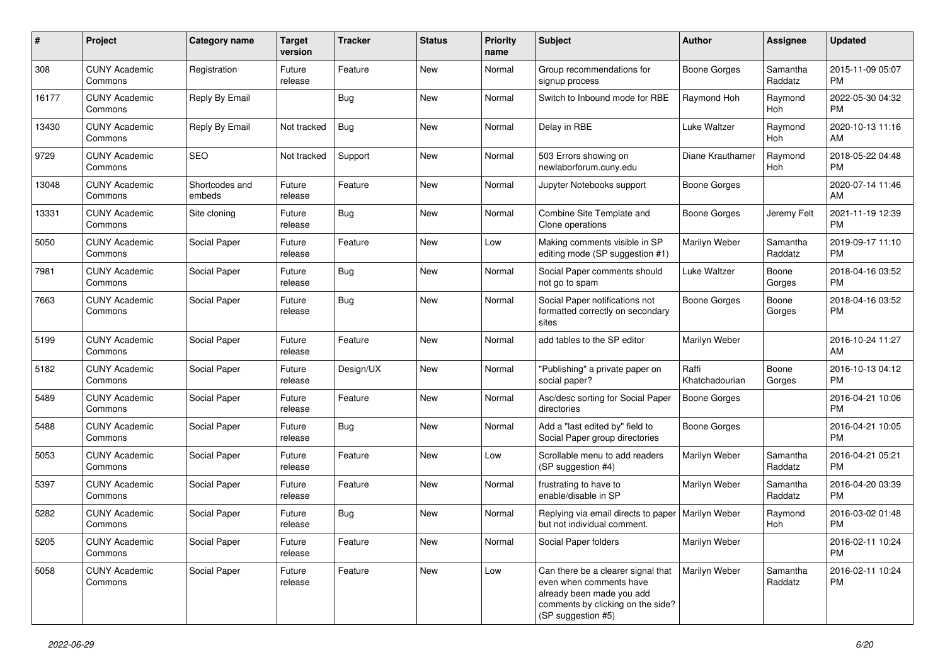| #     | Project                         | <b>Category name</b>     | <b>Target</b><br>version | <b>Tracker</b> | <b>Status</b> | <b>Priority</b><br>name | <b>Subject</b>                                                                                                                                        | <b>Author</b>           | <b>Assignee</b>       | <b>Updated</b>                |
|-------|---------------------------------|--------------------------|--------------------------|----------------|---------------|-------------------------|-------------------------------------------------------------------------------------------------------------------------------------------------------|-------------------------|-----------------------|-------------------------------|
| 308   | <b>CUNY Academic</b><br>Commons | Registration             | Future<br>release        | Feature        | <b>New</b>    | Normal                  | Group recommendations for<br>signup process                                                                                                           | <b>Boone Gorges</b>     | Samantha<br>Raddatz   | 2015-11-09 05:07<br><b>PM</b> |
| 16177 | <b>CUNY Academic</b><br>Commons | Reply By Email           |                          | <b>Bug</b>     | <b>New</b>    | Normal                  | Switch to Inbound mode for RBE                                                                                                                        | Raymond Hoh             | Raymond<br><b>Hoh</b> | 2022-05-30 04:32<br><b>PM</b> |
| 13430 | <b>CUNY Academic</b><br>Commons | Reply By Email           | Not tracked              | Bug            | <b>New</b>    | Normal                  | Delay in RBE                                                                                                                                          | <b>Luke Waltzer</b>     | Raymond<br>Hoh        | 2020-10-13 11:16<br>AM        |
| 9729  | <b>CUNY Academic</b><br>Commons | <b>SEO</b>               | Not tracked              | Support        | <b>New</b>    | Normal                  | 503 Errors showing on<br>newlaborforum.cuny.edu                                                                                                       | Diane Krauthamer        | Raymond<br>Hoh        | 2018-05-22 04:48<br><b>PM</b> |
| 13048 | <b>CUNY Academic</b><br>Commons | Shortcodes and<br>embeds | Future<br>release        | Feature        | <b>New</b>    | Normal                  | Jupyter Notebooks support                                                                                                                             | <b>Boone Gorges</b>     |                       | 2020-07-14 11:46<br>AM        |
| 13331 | <b>CUNY Academic</b><br>Commons | Site cloning             | Future<br>release        | <b>Bug</b>     | <b>New</b>    | Normal                  | Combine Site Template and<br>Clone operations                                                                                                         | Boone Gorges            | Jeremy Felt           | 2021-11-19 12:39<br><b>PM</b> |
| 5050  | <b>CUNY Academic</b><br>Commons | Social Paper             | Future<br>release        | Feature        | <b>New</b>    | Low                     | Making comments visible in SP<br>editing mode (SP suggestion #1)                                                                                      | Marilyn Weber           | Samantha<br>Raddatz   | 2019-09-17 11:10<br><b>PM</b> |
| 7981  | <b>CUNY Academic</b><br>Commons | Social Paper             | Future<br>release        | <b>Bug</b>     | <b>New</b>    | Normal                  | Social Paper comments should<br>not go to spam                                                                                                        | <b>Luke Waltzer</b>     | Boone<br>Gorges       | 2018-04-16 03:52<br><b>PM</b> |
| 7663  | <b>CUNY Academic</b><br>Commons | Social Paper             | Future<br>release        | <b>Bug</b>     | <b>New</b>    | Normal                  | Social Paper notifications not<br>formatted correctly on secondary<br>sites                                                                           | <b>Boone Gorges</b>     | Boone<br>Gorges       | 2018-04-16 03:52<br><b>PM</b> |
| 5199  | <b>CUNY Academic</b><br>Commons | Social Paper             | Future<br>release        | Feature        | <b>New</b>    | Normal                  | add tables to the SP editor                                                                                                                           | Marilyn Weber           |                       | 2016-10-24 11:27<br>AM        |
| 5182  | <b>CUNY Academic</b><br>Commons | Social Paper             | Future<br>release        | Design/UX      | <b>New</b>    | Normal                  | "Publishing" a private paper on<br>social paper?                                                                                                      | Raffi<br>Khatchadourian | Boone<br>Gorges       | 2016-10-13 04:12<br><b>PM</b> |
| 5489  | <b>CUNY Academic</b><br>Commons | Social Paper             | Future<br>release        | Feature        | <b>New</b>    | Normal                  | Asc/desc sorting for Social Paper<br>directories                                                                                                      | <b>Boone Gorges</b>     |                       | 2016-04-21 10:06<br><b>PM</b> |
| 5488  | <b>CUNY Academic</b><br>Commons | Social Paper             | Future<br>release        | <b>Bug</b>     | <b>New</b>    | Normal                  | Add a "last edited by" field to<br>Social Paper group directories                                                                                     | <b>Boone Gorges</b>     |                       | 2016-04-21 10:05<br><b>PM</b> |
| 5053  | <b>CUNY Academic</b><br>Commons | Social Paper             | Future<br>release        | Feature        | <b>New</b>    | Low                     | Scrollable menu to add readers<br>(SP suggestion #4)                                                                                                  | Marilyn Weber           | Samantha<br>Raddatz   | 2016-04-21 05:21<br><b>PM</b> |
| 5397  | <b>CUNY Academic</b><br>Commons | Social Paper             | Future<br>release        | Feature        | <b>New</b>    | Normal                  | frustrating to have to<br>enable/disable in SP                                                                                                        | Marilyn Weber           | Samantha<br>Raddatz   | 2016-04-20 03:39<br><b>PM</b> |
| 5282  | <b>CUNY Academic</b><br>Commons | Social Paper             | Future<br>release        | <b>Bug</b>     | <b>New</b>    | Normal                  | Replying via email directs to paper   Marilyn Weber<br>but not individual comment.                                                                    |                         | Raymond<br>Hoh        | 2016-03-02 01:48<br><b>PM</b> |
| 5205  | <b>CUNY Academic</b><br>Commons | Social Paper             | Future<br>release        | Feature        | New           | Normal                  | Social Paper folders                                                                                                                                  | Marilyn Weber           |                       | 2016-02-11 10:24<br>PM        |
| 5058  | <b>CUNY Academic</b><br>Commons | Social Paper             | Future<br>release        | Feature        | New           | Low                     | Can there be a clearer signal that<br>even when comments have<br>already been made you add<br>comments by clicking on the side?<br>(SP suggestion #5) | Marilyn Weber           | Samantha<br>Raddatz   | 2016-02-11 10:24<br>PM        |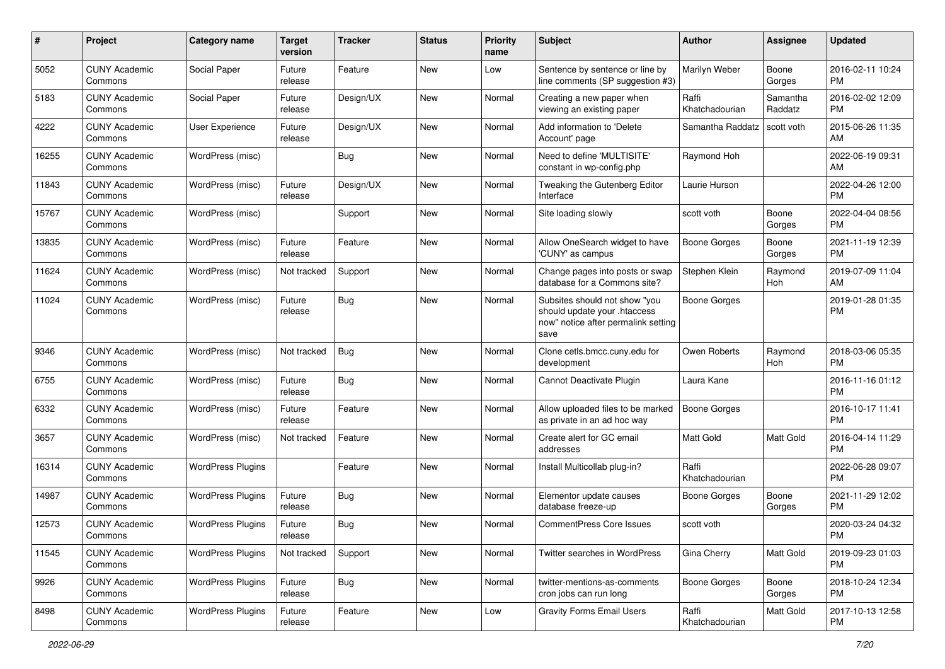| #     | Project                         | <b>Category name</b>     | <b>Target</b><br>version | <b>Tracker</b> | <b>Status</b> | <b>Priority</b><br>name | Subject                                                                                                      | Author                  | <b>Assignee</b>     | <b>Updated</b>                |
|-------|---------------------------------|--------------------------|--------------------------|----------------|---------------|-------------------------|--------------------------------------------------------------------------------------------------------------|-------------------------|---------------------|-------------------------------|
| 5052  | <b>CUNY Academic</b><br>Commons | Social Paper             | Future<br>release        | Feature        | <b>New</b>    | Low                     | Sentence by sentence or line by<br>line comments (SP suggestion #3)                                          | Marilyn Weber           | Boone<br>Gorges     | 2016-02-11 10:24<br><b>PM</b> |
| 5183  | <b>CUNY Academic</b><br>Commons | Social Paper             | Future<br>release        | Design/UX      | <b>New</b>    | Normal                  | Creating a new paper when<br>viewing an existing paper                                                       | Raffi<br>Khatchadourian | Samantha<br>Raddatz | 2016-02-02 12:09<br><b>PM</b> |
| 4222  | <b>CUNY Academic</b><br>Commons | <b>User Experience</b>   | Future<br>release        | Design/UX      | <b>New</b>    | Normal                  | Add information to 'Delete<br>Account' page                                                                  | Samantha Raddatz        | scott voth          | 2015-06-26 11:35<br>AM        |
| 16255 | <b>CUNY Academic</b><br>Commons | WordPress (misc)         |                          | <b>Bug</b>     | <b>New</b>    | Normal                  | Need to define 'MULTISITE'<br>constant in wp-config.php                                                      | Raymond Hoh             |                     | 2022-06-19 09:31<br>AM        |
| 11843 | <b>CUNY Academic</b><br>Commons | WordPress (misc)         | Future<br>release        | Design/UX      | <b>New</b>    | Normal                  | Tweaking the Gutenberg Editor<br>Interface                                                                   | Laurie Hurson           |                     | 2022-04-26 12:00<br><b>PM</b> |
| 15767 | <b>CUNY Academic</b><br>Commons | WordPress (misc)         |                          | Support        | <b>New</b>    | Normal                  | Site loading slowly                                                                                          | scott voth              | Boone<br>Gorges     | 2022-04-04 08:56<br><b>PM</b> |
| 13835 | <b>CUNY Academic</b><br>Commons | WordPress (misc)         | Future<br>release        | Feature        | <b>New</b>    | Normal                  | Allow OneSearch widget to have<br>'CUNY' as campus                                                           | <b>Boone Gorges</b>     | Boone<br>Gorges     | 2021-11-19 12:39<br><b>PM</b> |
| 11624 | <b>CUNY Academic</b><br>Commons | WordPress (misc)         | Not tracked              | Support        | <b>New</b>    | Normal                  | Change pages into posts or swap<br>database for a Commons site?                                              | Stephen Klein           | Raymond<br>Hoh      | 2019-07-09 11:04<br>AM        |
| 11024 | <b>CUNY Academic</b><br>Commons | WordPress (misc)         | Future<br>release        | Bug            | <b>New</b>    | Normal                  | Subsites should not show "you<br>should update your .htaccess<br>now" notice after permalink setting<br>save | <b>Boone Gorges</b>     |                     | 2019-01-28 01:35<br><b>PM</b> |
| 9346  | <b>CUNY Academic</b><br>Commons | WordPress (misc)         | Not tracked              | <b>Bug</b>     | <b>New</b>    | Normal                  | Clone cetls.bmcc.cuny.edu for<br>development                                                                 | Owen Roberts            | Raymond<br>Hoh      | 2018-03-06 05:35<br><b>PM</b> |
| 6755  | <b>CUNY Academic</b><br>Commons | WordPress (misc)         | Future<br>release        | <b>Bug</b>     | <b>New</b>    | Normal                  | Cannot Deactivate Plugin                                                                                     | Laura Kane              |                     | 2016-11-16 01:12<br><b>PM</b> |
| 6332  | <b>CUNY Academic</b><br>Commons | WordPress (misc)         | Future<br>release        | Feature        | <b>New</b>    | Normal                  | Allow uploaded files to be marked<br>as private in an ad hoc way                                             | <b>Boone Gorges</b>     |                     | 2016-10-17 11:41<br><b>PM</b> |
| 3657  | <b>CUNY Academic</b><br>Commons | WordPress (misc)         | Not tracked              | Feature        | <b>New</b>    | Normal                  | Create alert for GC email<br>addresses                                                                       | Matt Gold               | Matt Gold           | 2016-04-14 11:29<br><b>PM</b> |
| 16314 | <b>CUNY Academic</b><br>Commons | <b>WordPress Plugins</b> |                          | Feature        | <b>New</b>    | Normal                  | Install Multicollab plug-in?                                                                                 | Raffi<br>Khatchadourian |                     | 2022-06-28 09:07<br><b>PM</b> |
| 14987 | <b>CUNY Academic</b><br>Commons | <b>WordPress Plugins</b> | Future<br>release        | <b>Bug</b>     | <b>New</b>    | Normal                  | Elementor update causes<br>database freeze-up                                                                | <b>Boone Gorges</b>     | Boone<br>Gorges     | 2021-11-29 12:02<br><b>PM</b> |
| 12573 | CUNY Academic<br>Commons        | <b>WordPress Plugins</b> | Future<br>release        | <b>Bug</b>     | New           | Normal                  | CommentPress Core Issues                                                                                     | scott voth              |                     | 2020-03-24 04:32<br>PM        |
| 11545 | <b>CUNY Academic</b><br>Commons | <b>WordPress Plugins</b> | Not tracked              | Support        | New           | Normal                  | Twitter searches in WordPress                                                                                | Gina Cherry             | Matt Gold           | 2019-09-23 01:03<br><b>PM</b> |
| 9926  | <b>CUNY Academic</b><br>Commons | <b>WordPress Plugins</b> | Future<br>release        | Bug            | New           | Normal                  | twitter-mentions-as-comments<br>cron jobs can run long                                                       | <b>Boone Gorges</b>     | Boone<br>Gorges     | 2018-10-24 12:34<br><b>PM</b> |
| 8498  | <b>CUNY Academic</b><br>Commons | <b>WordPress Plugins</b> | Future<br>release        | Feature        | New           | Low                     | <b>Gravity Forms Email Users</b>                                                                             | Raffi<br>Khatchadourian | Matt Gold           | 2017-10-13 12:58<br>PM        |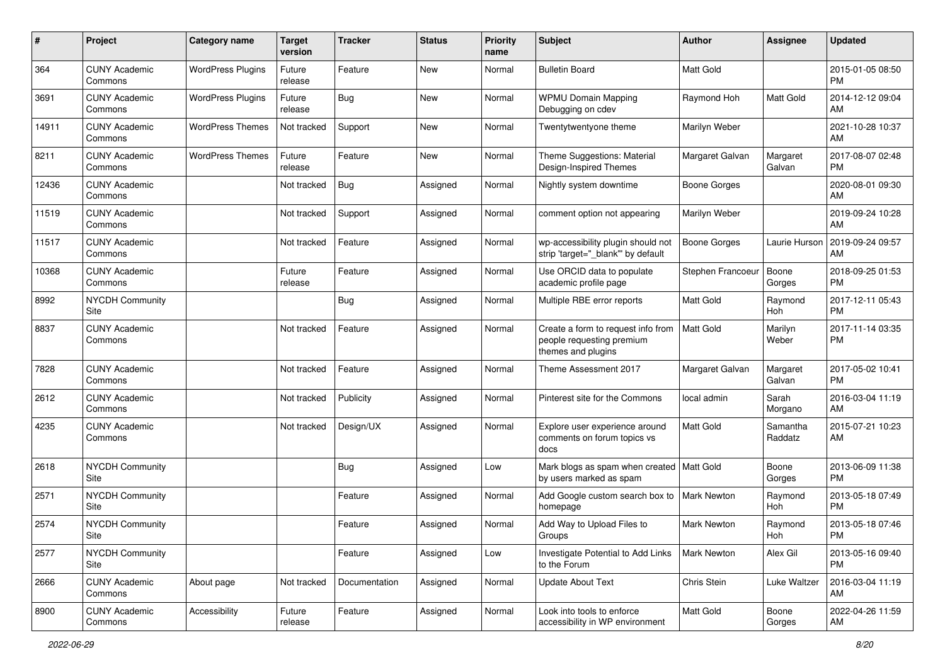| #     | Project                         | Category name            | <b>Target</b><br>version | <b>Tracker</b> | <b>Status</b> | <b>Priority</b><br>name | <b>Subject</b>                                                                        | <b>Author</b>       | <b>Assignee</b>     | <b>Updated</b>                |
|-------|---------------------------------|--------------------------|--------------------------|----------------|---------------|-------------------------|---------------------------------------------------------------------------------------|---------------------|---------------------|-------------------------------|
| 364   | <b>CUNY Academic</b><br>Commons | <b>WordPress Plugins</b> | Future<br>release        | Feature        | <b>New</b>    | Normal                  | <b>Bulletin Board</b>                                                                 | <b>Matt Gold</b>    |                     | 2015-01-05 08:50<br><b>PM</b> |
| 3691  | <b>CUNY Academic</b><br>Commons | <b>WordPress Plugins</b> | Future<br>release        | <b>Bug</b>     | New           | Normal                  | <b>WPMU Domain Mapping</b><br>Debugging on cdev                                       | Raymond Hoh         | Matt Gold           | 2014-12-12 09:04<br>AM        |
| 14911 | <b>CUNY Academic</b><br>Commons | <b>WordPress Themes</b>  | Not tracked              | Support        | New           | Normal                  | Twentytwentyone theme                                                                 | Marilyn Weber       |                     | 2021-10-28 10:37<br>AM        |
| 8211  | <b>CUNY Academic</b><br>Commons | <b>WordPress Themes</b>  | Future<br>release        | Feature        | <b>New</b>    | Normal                  | Theme Suggestions: Material<br>Design-Inspired Themes                                 | Margaret Galvan     | Margaret<br>Galvan  | 2017-08-07 02:48<br><b>PM</b> |
| 12436 | <b>CUNY Academic</b><br>Commons |                          | Not tracked              | <b>Bug</b>     | Assigned      | Normal                  | Nightly system downtime                                                               | <b>Boone Gorges</b> |                     | 2020-08-01 09:30<br>AM        |
| 11519 | <b>CUNY Academic</b><br>Commons |                          | Not tracked              | Support        | Assigned      | Normal                  | comment option not appearing                                                          | Marilyn Weber       |                     | 2019-09-24 10:28<br>AM        |
| 11517 | <b>CUNY Academic</b><br>Commons |                          | Not tracked              | Feature        | Assigned      | Normal                  | wp-accessibility plugin should not<br>strip 'target="_blank" by default               | <b>Boone Gorges</b> | Laurie Hurson       | 2019-09-24 09:57<br>AM        |
| 10368 | <b>CUNY Academic</b><br>Commons |                          | Future<br>release        | Feature        | Assigned      | Normal                  | Use ORCID data to populate<br>academic profile page                                   | Stephen Francoeur   | Boone<br>Gorges     | 2018-09-25 01:53<br><b>PM</b> |
| 8992  | <b>NYCDH Community</b><br>Site  |                          |                          | <b>Bug</b>     | Assigned      | Normal                  | Multiple RBE error reports                                                            | Matt Gold           | Raymond<br>Hoh      | 2017-12-11 05:43<br><b>PM</b> |
| 8837  | <b>CUNY Academic</b><br>Commons |                          | Not tracked              | Feature        | Assigned      | Normal                  | Create a form to request info from<br>people requesting premium<br>themes and plugins | Matt Gold           | Marilyn<br>Weber    | 2017-11-14 03:35<br><b>PM</b> |
| 7828  | <b>CUNY Academic</b><br>Commons |                          | Not tracked              | Feature        | Assigned      | Normal                  | Theme Assessment 2017                                                                 | Margaret Galvan     | Margaret<br>Galvan  | 2017-05-02 10:41<br><b>PM</b> |
| 2612  | <b>CUNY Academic</b><br>Commons |                          | Not tracked              | Publicity      | Assigned      | Normal                  | Pinterest site for the Commons                                                        | local admin         | Sarah<br>Morgano    | 2016-03-04 11:19<br>AM        |
| 4235  | <b>CUNY Academic</b><br>Commons |                          | Not tracked              | Design/UX      | Assigned      | Normal                  | Explore user experience around<br>comments on forum topics vs<br>docs                 | <b>Matt Gold</b>    | Samantha<br>Raddatz | 2015-07-21 10:23<br>AM        |
| 2618  | <b>NYCDH Community</b><br>Site  |                          |                          | <b>Bug</b>     | Assigned      | Low                     | Mark blogs as spam when created   Matt Gold<br>by users marked as spam                |                     | Boone<br>Gorges     | 2013-06-09 11:38<br><b>PM</b> |
| 2571  | NYCDH Community<br>Site         |                          |                          | Feature        | Assigned      | Normal                  | Add Google custom search box to<br>homepage                                           | <b>Mark Newton</b>  | Raymond<br>Hoh      | 2013-05-18 07:49<br><b>PM</b> |
| 2574  | <b>NYCDH Community</b><br>Site  |                          |                          | Feature        | Assigned      | Normal                  | Add Way to Upload Files to<br>Groups                                                  | <b>Mark Newton</b>  | Raymond<br>Hoh      | 2013-05-18 07:46<br>PM        |
| 2577  | <b>NYCDH Community</b><br>Site  |                          |                          | Feature        | Assigned      | Low                     | Investigate Potential to Add Links<br>to the Forum                                    | Mark Newton         | Alex Gil            | 2013-05-16 09:40<br><b>PM</b> |
| 2666  | <b>CUNY Academic</b><br>Commons | About page               | Not tracked              | Documentation  | Assigned      | Normal                  | <b>Update About Text</b>                                                              | Chris Stein         | Luke Waltzer        | 2016-03-04 11:19<br>AM        |
| 8900  | <b>CUNY Academic</b><br>Commons | Accessibility            | Future<br>release        | Feature        | Assigned      | Normal                  | Look into tools to enforce<br>accessibility in WP environment                         | Matt Gold           | Boone<br>Gorges     | 2022-04-26 11:59<br>AM        |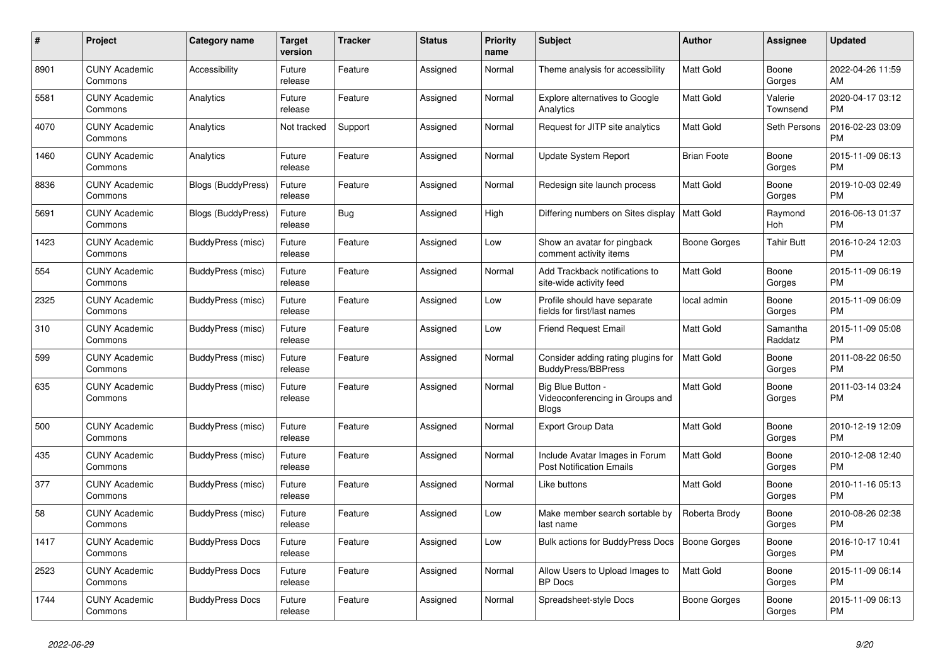| $\#$ | <b>Project</b>                  | Category name             | Target<br>version | <b>Tracker</b> | <b>Status</b> | <b>Priority</b><br>name | <b>Subject</b>                                                       | <b>Author</b>       | Assignee            | <b>Updated</b>                |
|------|---------------------------------|---------------------------|-------------------|----------------|---------------|-------------------------|----------------------------------------------------------------------|---------------------|---------------------|-------------------------------|
| 8901 | <b>CUNY Academic</b><br>Commons | Accessibility             | Future<br>release | Feature        | Assigned      | Normal                  | Theme analysis for accessibility                                     | <b>Matt Gold</b>    | Boone<br>Gorges     | 2022-04-26 11:59<br>AM        |
| 5581 | <b>CUNY Academic</b><br>Commons | Analytics                 | Future<br>release | Feature        | Assigned      | Normal                  | Explore alternatives to Google<br>Analytics                          | <b>Matt Gold</b>    | Valerie<br>Townsend | 2020-04-17 03:12<br><b>PM</b> |
| 4070 | <b>CUNY Academic</b><br>Commons | Analytics                 | Not tracked       | Support        | Assigned      | Normal                  | Request for JITP site analytics                                      | Matt Gold           | Seth Persons        | 2016-02-23 03:09<br><b>PM</b> |
| 1460 | <b>CUNY Academic</b><br>Commons | Analytics                 | Future<br>release | Feature        | Assigned      | Normal                  | Update System Report                                                 | <b>Brian Foote</b>  | Boone<br>Gorges     | 2015-11-09 06:13<br><b>PM</b> |
| 8836 | <b>CUNY Academic</b><br>Commons | <b>Blogs (BuddyPress)</b> | Future<br>release | Feature        | Assigned      | Normal                  | Redesign site launch process                                         | Matt Gold           | Boone<br>Gorges     | 2019-10-03 02:49<br><b>PM</b> |
| 5691 | <b>CUNY Academic</b><br>Commons | <b>Blogs (BuddyPress)</b> | Future<br>release | <b>Bug</b>     | Assigned      | High                    | Differing numbers on Sites display                                   | <b>Matt Gold</b>    | Raymond<br>Hoh      | 2016-06-13 01:37<br><b>PM</b> |
| 1423 | <b>CUNY Academic</b><br>Commons | BuddyPress (misc)         | Future<br>release | Feature        | Assigned      | Low                     | Show an avatar for pingback<br>comment activity items                | Boone Gorges        | <b>Tahir Butt</b>   | 2016-10-24 12:03<br><b>PM</b> |
| 554  | <b>CUNY Academic</b><br>Commons | BuddyPress (misc)         | Future<br>release | Feature        | Assigned      | Normal                  | Add Trackback notifications to<br>site-wide activity feed            | <b>Matt Gold</b>    | Boone<br>Gorges     | 2015-11-09 06:19<br><b>PM</b> |
| 2325 | <b>CUNY Academic</b><br>Commons | BuddyPress (misc)         | Future<br>release | Feature        | Assigned      | Low                     | Profile should have separate<br>fields for first/last names          | local admin         | Boone<br>Gorges     | 2015-11-09 06:09<br><b>PM</b> |
| 310  | <b>CUNY Academic</b><br>Commons | BuddyPress (misc)         | Future<br>release | Feature        | Assigned      | Low                     | <b>Friend Request Email</b>                                          | <b>Matt Gold</b>    | Samantha<br>Raddatz | 2015-11-09 05:08<br><b>PM</b> |
| 599  | <b>CUNY Academic</b><br>Commons | <b>BuddyPress (misc)</b>  | Future<br>release | Feature        | Assigned      | Normal                  | Consider adding rating plugins for<br><b>BuddyPress/BBPress</b>      | <b>Matt Gold</b>    | Boone<br>Gorges     | 2011-08-22 06:50<br><b>PM</b> |
| 635  | <b>CUNY Academic</b><br>Commons | BuddyPress (misc)         | Future<br>release | Feature        | Assigned      | Normal                  | Big Blue Button -<br>Videoconferencing in Groups and<br><b>Blogs</b> | Matt Gold           | Boone<br>Gorges     | 2011-03-14 03:24<br><b>PM</b> |
| 500  | <b>CUNY Academic</b><br>Commons | BuddyPress (misc)         | Future<br>release | Feature        | Assigned      | Normal                  | <b>Export Group Data</b>                                             | Matt Gold           | Boone<br>Gorges     | 2010-12-19 12:09<br><b>PM</b> |
| 435  | <b>CUNY Academic</b><br>Commons | BuddyPress (misc)         | Future<br>release | Feature        | Assigned      | Normal                  | Include Avatar Images in Forum<br><b>Post Notification Emails</b>    | <b>Matt Gold</b>    | Boone<br>Gorges     | 2010-12-08 12:40<br><b>PM</b> |
| 377  | <b>CUNY Academic</b><br>Commons | BuddyPress (misc)         | Future<br>release | Feature        | Assigned      | Normal                  | Like buttons                                                         | <b>Matt Gold</b>    | Boone<br>Gorges     | 2010-11-16 05:13<br><b>PM</b> |
| 58   | <b>CUNY Academic</b><br>Commons | BuddyPress (misc)         | Future<br>release | Feature        | Assigned      | Low                     | Make member search sortable by<br>last name                          | Roberta Brody       | Boone<br>Gorges     | 2010-08-26 02:38<br><b>PM</b> |
| 1417 | <b>CUNY Academic</b><br>Commons | <b>BuddyPress Docs</b>    | Future<br>release | Feature        | Assigned      | Low                     | Bulk actions for BuddyPress Docs                                     | <b>Boone Gorges</b> | Boone<br>Gorges     | 2016-10-17 10:41<br><b>PM</b> |
| 2523 | <b>CUNY Academic</b><br>Commons | <b>BuddyPress Docs</b>    | Future<br>release | Feature        | Assigned      | Normal                  | Allow Users to Upload Images to<br><b>BP</b> Docs                    | <b>Matt Gold</b>    | Boone<br>Gorges     | 2015-11-09 06:14<br><b>PM</b> |
| 1744 | <b>CUNY Academic</b><br>Commons | <b>BuddyPress Docs</b>    | Future<br>release | Feature        | Assigned      | Normal                  | Spreadsheet-style Docs                                               | Boone Gorges        | Boone<br>Gorges     | 2015-11-09 06:13<br><b>PM</b> |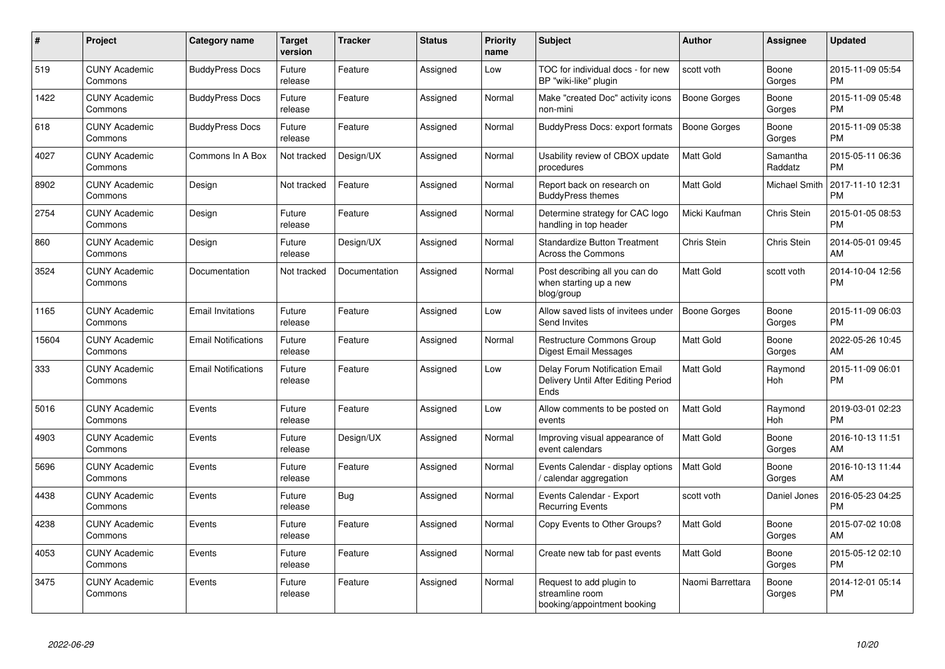| $\pmb{\#}$ | Project                         | <b>Category name</b>       | <b>Target</b><br>version | <b>Tracker</b> | <b>Status</b> | <b>Priority</b><br>name | <b>Subject</b>                                                                | Author              | <b>Assignee</b>      | <b>Updated</b>                |
|------------|---------------------------------|----------------------------|--------------------------|----------------|---------------|-------------------------|-------------------------------------------------------------------------------|---------------------|----------------------|-------------------------------|
| 519        | <b>CUNY Academic</b><br>Commons | <b>BuddyPress Docs</b>     | Future<br>release        | Feature        | Assigned      | Low                     | TOC for individual docs - for new<br>BP "wiki-like" plugin                    | scott voth          | Boone<br>Gorges      | 2015-11-09 05:54<br><b>PM</b> |
| 1422       | <b>CUNY Academic</b><br>Commons | <b>BuddyPress Docs</b>     | Future<br>release        | Feature        | Assigned      | Normal                  | Make "created Doc" activity icons<br>non-mini                                 | Boone Gorges        | Boone<br>Gorges      | 2015-11-09 05:48<br><b>PM</b> |
| 618        | <b>CUNY Academic</b><br>Commons | <b>BuddyPress Docs</b>     | Future<br>release        | Feature        | Assigned      | Normal                  | <b>BuddyPress Docs: export formats</b>                                        | Boone Gorges        | Boone<br>Gorges      | 2015-11-09 05:38<br><b>PM</b> |
| 4027       | <b>CUNY Academic</b><br>Commons | Commons In A Box           | Not tracked              | Design/UX      | Assigned      | Normal                  | Usability review of CBOX update<br>procedures                                 | <b>Matt Gold</b>    | Samantha<br>Raddatz  | 2015-05-11 06:36<br><b>PM</b> |
| 8902       | <b>CUNY Academic</b><br>Commons | Design                     | Not tracked              | Feature        | Assigned      | Normal                  | Report back on research on<br><b>BuddyPress themes</b>                        | <b>Matt Gold</b>    | <b>Michael Smith</b> | 2017-11-10 12:31<br><b>PM</b> |
| 2754       | <b>CUNY Academic</b><br>Commons | Design                     | Future<br>release        | Feature        | Assigned      | Normal                  | Determine strategy for CAC logo<br>handling in top header                     | Micki Kaufman       | Chris Stein          | 2015-01-05 08:53<br><b>PM</b> |
| 860        | <b>CUNY Academic</b><br>Commons | Design                     | Future<br>release        | Design/UX      | Assigned      | Normal                  | <b>Standardize Button Treatment</b><br>Across the Commons                     | Chris Stein         | Chris Stein          | 2014-05-01 09:45<br>AM        |
| 3524       | <b>CUNY Academic</b><br>Commons | Documentation              | Not tracked              | Documentation  | Assigned      | Normal                  | Post describing all you can do<br>when starting up a new<br>blog/group        | <b>Matt Gold</b>    | scott voth           | 2014-10-04 12:56<br><b>PM</b> |
| 1165       | <b>CUNY Academic</b><br>Commons | <b>Email Invitations</b>   | Future<br>release        | Feature        | Assigned      | Low                     | Allow saved lists of invitees under<br>Send Invites                           | <b>Boone Gorges</b> | Boone<br>Gorges      | 2015-11-09 06:03<br><b>PM</b> |
| 15604      | <b>CUNY Academic</b><br>Commons | <b>Email Notifications</b> | Future<br>release        | Feature        | Assigned      | Normal                  | <b>Restructure Commons Group</b><br>Digest Email Messages                     | <b>Matt Gold</b>    | Boone<br>Gorges      | 2022-05-26 10:45<br>AM        |
| 333        | <b>CUNY Academic</b><br>Commons | <b>Email Notifications</b> | Future<br>release        | Feature        | Assigned      | Low                     | Delay Forum Notification Email<br>Delivery Until After Editing Period<br>Ends | <b>Matt Gold</b>    | Raymond<br>Hoh       | 2015-11-09 06:01<br><b>PM</b> |
| 5016       | <b>CUNY Academic</b><br>Commons | Events                     | Future<br>release        | Feature        | Assigned      | Low                     | Allow comments to be posted on<br>events                                      | <b>Matt Gold</b>    | Raymond<br>Hoh       | 2019-03-01 02:23<br><b>PM</b> |
| 4903       | <b>CUNY Academic</b><br>Commons | Events                     | Future<br>release        | Design/UX      | Assigned      | Normal                  | Improving visual appearance of<br>event calendars                             | <b>Matt Gold</b>    | Boone<br>Gorges      | 2016-10-13 11:51<br>AM        |
| 5696       | <b>CUNY Academic</b><br>Commons | Events                     | Future<br>release        | Feature        | Assigned      | Normal                  | Events Calendar - display options<br>calendar aggregation                     | <b>Matt Gold</b>    | Boone<br>Gorges      | 2016-10-13 11:44<br>AM        |
| 4438       | <b>CUNY Academic</b><br>Commons | Events                     | Future<br>release        | <b>Bug</b>     | Assigned      | Normal                  | Events Calendar - Export<br><b>Recurring Events</b>                           | scott voth          | Daniel Jones         | 2016-05-23 04:25<br><b>PM</b> |
| 4238       | <b>CUNY Academic</b><br>Commons | Events                     | Future<br>release        | Feature        | Assigned      | Normal                  | Copy Events to Other Groups?                                                  | Matt Gold           | Boone<br>Gorges      | 2015-07-02 10:08<br>AM        |
| 4053       | <b>CUNY Academic</b><br>Commons | Events                     | Future<br>release        | Feature        | Assigned      | Normal                  | Create new tab for past events                                                | <b>Matt Gold</b>    | Boone<br>Gorges      | 2015-05-12 02:10<br><b>PM</b> |
| 3475       | <b>CUNY Academic</b><br>Commons | Events                     | Future<br>release        | Feature        | Assigned      | Normal                  | Request to add plugin to<br>streamline room<br>booking/appointment booking    | Naomi Barrettara    | Boone<br>Gorges      | 2014-12-01 05:14<br><b>PM</b> |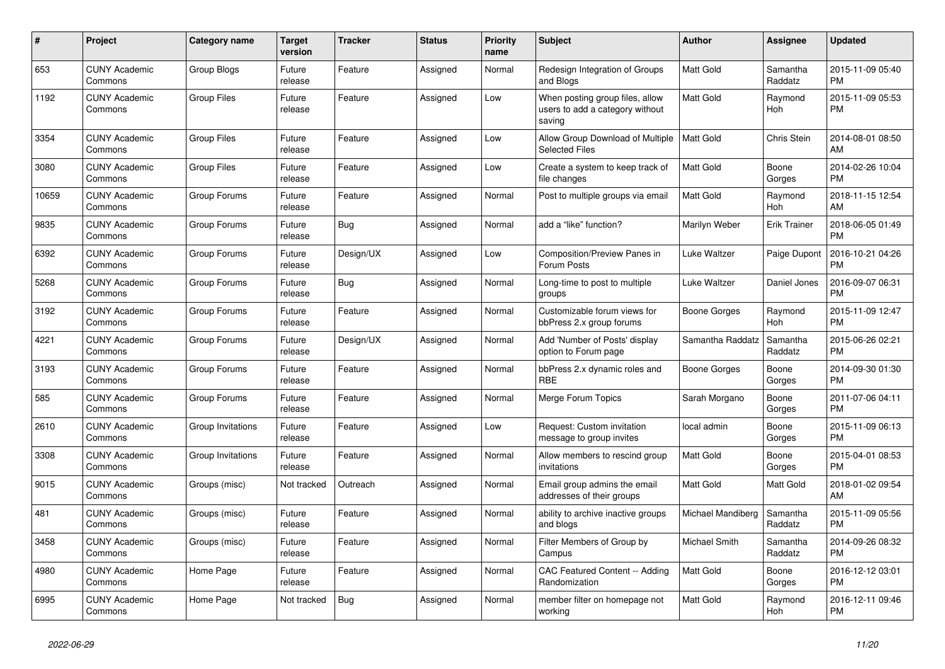| #     | Project                         | Category name      | <b>Target</b><br>version | <b>Tracker</b> | <b>Status</b> | Priority<br>name | <b>Subject</b>                                                               | <b>Author</b>        | Assignee            | <b>Updated</b>                |
|-------|---------------------------------|--------------------|--------------------------|----------------|---------------|------------------|------------------------------------------------------------------------------|----------------------|---------------------|-------------------------------|
| 653   | <b>CUNY Academic</b><br>Commons | Group Blogs        | Future<br>release        | Feature        | Assigned      | Normal           | Redesign Integration of Groups<br>and Blogs                                  | Matt Gold            | Samantha<br>Raddatz | 2015-11-09 05:40<br><b>PM</b> |
| 1192  | <b>CUNY Academic</b><br>Commons | <b>Group Files</b> | Future<br>release        | Feature        | Assigned      | Low              | When posting group files, allow<br>users to add a category without<br>saving | <b>Matt Gold</b>     | Raymond<br>Hoh      | 2015-11-09 05:53<br><b>PM</b> |
| 3354  | <b>CUNY Academic</b><br>Commons | Group Files        | Future<br>release        | Feature        | Assigned      | Low              | Allow Group Download of Multiple<br><b>Selected Files</b>                    | <b>Matt Gold</b>     | Chris Stein         | 2014-08-01 08:50<br>AM        |
| 3080  | <b>CUNY Academic</b><br>Commons | <b>Group Files</b> | Future<br>release        | Feature        | Assigned      | Low              | Create a system to keep track of<br>file changes                             | Matt Gold            | Boone<br>Gorges     | 2014-02-26 10:04<br><b>PM</b> |
| 10659 | <b>CUNY Academic</b><br>Commons | Group Forums       | Future<br>release        | Feature        | Assigned      | Normal           | Post to multiple groups via email                                            | <b>Matt Gold</b>     | Raymond<br>Hoh      | 2018-11-15 12:54<br>AM        |
| 9835  | <b>CUNY Academic</b><br>Commons | Group Forums       | Future<br>release        | <b>Bug</b>     | Assigned      | Normal           | add a "like" function?                                                       | Marilyn Weber        | <b>Erik Trainer</b> | 2018-06-05 01:49<br><b>PM</b> |
| 6392  | <b>CUNY Academic</b><br>Commons | Group Forums       | Future<br>release        | Design/UX      | Assigned      | Low              | Composition/Preview Panes in<br>Forum Posts                                  | Luke Waltzer         | Paige Dupont        | 2016-10-21 04:26<br><b>PM</b> |
| 5268  | <b>CUNY Academic</b><br>Commons | Group Forums       | Future<br>release        | <b>Bug</b>     | Assigned      | Normal           | Long-time to post to multiple<br>groups                                      | Luke Waltzer         | Daniel Jones        | 2016-09-07 06:31<br><b>PM</b> |
| 3192  | <b>CUNY Academic</b><br>Commons | Group Forums       | Future<br>release        | Feature        | Assigned      | Normal           | Customizable forum views for<br>bbPress 2.x group forums                     | <b>Boone Gorges</b>  | Raymond<br>Hoh      | 2015-11-09 12:47<br><b>PM</b> |
| 4221  | <b>CUNY Academic</b><br>Commons | Group Forums       | Future<br>release        | Design/UX      | Assigned      | Normal           | Add 'Number of Posts' display<br>option to Forum page                        | Samantha Raddatz     | Samantha<br>Raddatz | 2015-06-26 02:21<br><b>PM</b> |
| 3193  | <b>CUNY Academic</b><br>Commons | Group Forums       | Future<br>release        | Feature        | Assigned      | Normal           | bbPress 2.x dynamic roles and<br><b>RBE</b>                                  | Boone Gorges         | Boone<br>Gorges     | 2014-09-30 01:30<br><b>PM</b> |
| 585   | <b>CUNY Academic</b><br>Commons | Group Forums       | Future<br>release        | Feature        | Assigned      | Normal           | Merge Forum Topics                                                           | Sarah Morgano        | Boone<br>Gorges     | 2011-07-06 04:11<br><b>PM</b> |
| 2610  | <b>CUNY Academic</b><br>Commons | Group Invitations  | Future<br>release        | Feature        | Assigned      | Low              | Request: Custom invitation<br>message to group invites                       | local admin          | Boone<br>Gorges     | 2015-11-09 06:13<br><b>PM</b> |
| 3308  | <b>CUNY Academic</b><br>Commons | Group Invitations  | Future<br>release        | Feature        | Assigned      | Normal           | Allow members to rescind group<br>invitations                                | Matt Gold            | Boone<br>Gorges     | 2015-04-01 08:53<br><b>PM</b> |
| 9015  | <b>CUNY Academic</b><br>Commons | Groups (misc)      | Not tracked              | Outreach       | Assigned      | Normal           | Email group admins the email<br>addresses of their groups                    | <b>Matt Gold</b>     | <b>Matt Gold</b>    | 2018-01-02 09:54<br>AM        |
| 481   | <b>CUNY Academic</b><br>Commons | Groups (misc)      | Future<br>release        | Feature        | Assigned      | Normal           | ability to archive inactive groups<br>and blogs                              | Michael Mandiberg    | Samantha<br>Raddatz | 2015-11-09 05:56<br><b>PM</b> |
| 3458  | <b>CUNY Academic</b><br>Commons | Groups (misc)      | Future<br>release        | Feature        | Assigned      | Normal           | Filter Members of Group by<br>Campus                                         | <b>Michael Smith</b> | Samantha<br>Raddatz | 2014-09-26 08:32<br><b>PM</b> |
| 4980  | <b>CUNY Academic</b><br>Commons | Home Page          | Future<br>release        | Feature        | Assigned      | Normal           | CAC Featured Content -- Adding<br>Randomization                              | <b>Matt Gold</b>     | Boone<br>Gorges     | 2016-12-12 03:01<br><b>PM</b> |
| 6995  | <b>CUNY Academic</b><br>Commons | Home Page          | Not tracked              | Bug            | Assigned      | Normal           | member filter on homepage not<br>working                                     | Matt Gold            | Raymond<br>Hoh      | 2016-12-11 09:46<br><b>PM</b> |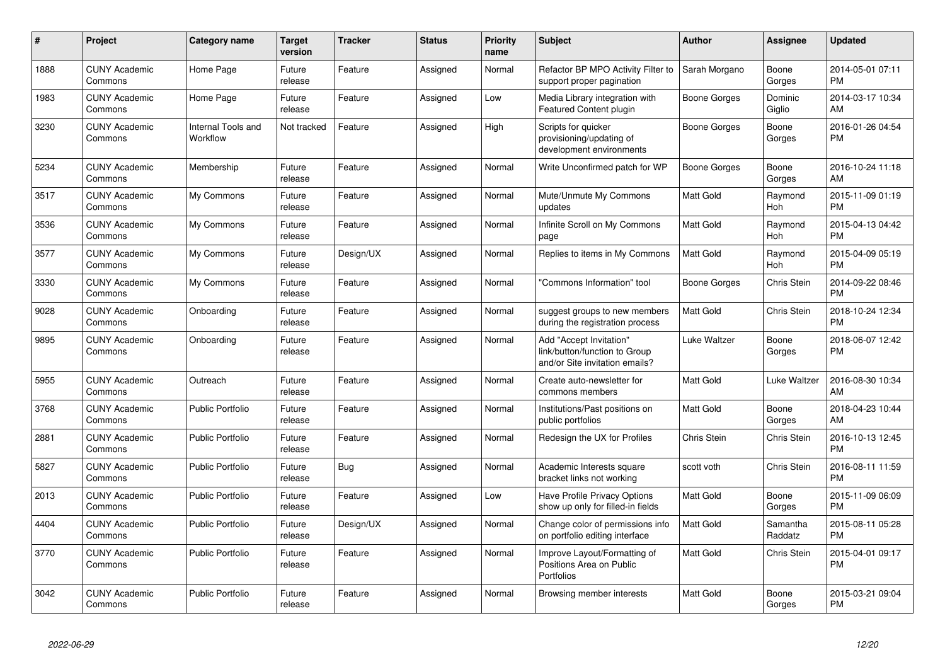| $\pmb{\#}$ | Project                         | Category name                  | <b>Target</b><br>version | <b>Tracker</b> | <b>Status</b> | <b>Priority</b><br>name | <b>Subject</b>                                                                             | Author              | <b>Assignee</b>     | <b>Updated</b>                |
|------------|---------------------------------|--------------------------------|--------------------------|----------------|---------------|-------------------------|--------------------------------------------------------------------------------------------|---------------------|---------------------|-------------------------------|
| 1888       | <b>CUNY Academic</b><br>Commons | Home Page                      | Future<br>release        | Feature        | Assigned      | Normal                  | Refactor BP MPO Activity Filter to<br>support proper pagination                            | Sarah Morgano       | Boone<br>Gorges     | 2014-05-01 07:11<br><b>PM</b> |
| 1983       | <b>CUNY Academic</b><br>Commons | Home Page                      | Future<br>release        | Feature        | Assigned      | Low                     | Media Library integration with<br>Featured Content plugin                                  | Boone Gorges        | Dominic<br>Giglio   | 2014-03-17 10:34<br>AM        |
| 3230       | <b>CUNY Academic</b><br>Commons | Internal Tools and<br>Workflow | Not tracked              | Feature        | Assigned      | High                    | Scripts for quicker<br>provisioning/updating of<br>development environments                | Boone Gorges        | Boone<br>Gorges     | 2016-01-26 04:54<br><b>PM</b> |
| 5234       | <b>CUNY Academic</b><br>Commons | Membership                     | Future<br>release        | Feature        | Assigned      | Normal                  | Write Unconfirmed patch for WP                                                             | <b>Boone Gorges</b> | Boone<br>Gorges     | 2016-10-24 11:18<br>AM        |
| 3517       | <b>CUNY Academic</b><br>Commons | My Commons                     | Future<br>release        | Feature        | Assigned      | Normal                  | Mute/Unmute My Commons<br>updates                                                          | Matt Gold           | Raymond<br>Hoh      | 2015-11-09 01:19<br><b>PM</b> |
| 3536       | <b>CUNY Academic</b><br>Commons | My Commons                     | Future<br>release        | Feature        | Assigned      | Normal                  | Infinite Scroll on My Commons<br>page                                                      | <b>Matt Gold</b>    | Raymond<br>Hoh      | 2015-04-13 04:42<br><b>PM</b> |
| 3577       | <b>CUNY Academic</b><br>Commons | My Commons                     | Future<br>release        | Design/UX      | Assigned      | Normal                  | Replies to items in My Commons                                                             | <b>Matt Gold</b>    | Raymond<br>Hoh      | 2015-04-09 05:19<br><b>PM</b> |
| 3330       | <b>CUNY Academic</b><br>Commons | My Commons                     | Future<br>release        | Feature        | Assigned      | Normal                  | 'Commons Information" tool                                                                 | Boone Gorges        | Chris Stein         | 2014-09-22 08:46<br><b>PM</b> |
| 9028       | <b>CUNY Academic</b><br>Commons | Onboarding                     | Future<br>release        | Feature        | Assigned      | Normal                  | suggest groups to new members<br>during the registration process                           | <b>Matt Gold</b>    | Chris Stein         | 2018-10-24 12:34<br><b>PM</b> |
| 9895       | <b>CUNY Academic</b><br>Commons | Onboarding                     | Future<br>release        | Feature        | Assigned      | Normal                  | Add "Accept Invitation"<br>link/button/function to Group<br>and/or Site invitation emails? | Luke Waltzer        | Boone<br>Gorges     | 2018-06-07 12:42<br><b>PM</b> |
| 5955       | <b>CUNY Academic</b><br>Commons | Outreach                       | Future<br>release        | Feature        | Assigned      | Normal                  | Create auto-newsletter for<br>commons members                                              | <b>Matt Gold</b>    | Luke Waltzer        | 2016-08-30 10:34<br>AM        |
| 3768       | <b>CUNY Academic</b><br>Commons | <b>Public Portfolio</b>        | Future<br>release        | Feature        | Assigned      | Normal                  | Institutions/Past positions on<br>public portfolios                                        | <b>Matt Gold</b>    | Boone<br>Gorges     | 2018-04-23 10:44<br>AM        |
| 2881       | <b>CUNY Academic</b><br>Commons | Public Portfolio               | Future<br>release        | Feature        | Assigned      | Normal                  | Redesign the UX for Profiles                                                               | Chris Stein         | Chris Stein         | 2016-10-13 12:45<br><b>PM</b> |
| 5827       | <b>CUNY Academic</b><br>Commons | <b>Public Portfolio</b>        | Future<br>release        | <b>Bug</b>     | Assigned      | Normal                  | Academic Interests square<br>bracket links not working                                     | scott voth          | Chris Stein         | 2016-08-11 11:59<br><b>PM</b> |
| 2013       | <b>CUNY Academic</b><br>Commons | <b>Public Portfolio</b>        | Future<br>release        | Feature        | Assigned      | Low                     | Have Profile Privacy Options<br>show up only for filled-in fields                          | Matt Gold           | Boone<br>Gorges     | 2015-11-09 06:09<br><b>PM</b> |
| 4404       | <b>CUNY Academic</b><br>Commons | <b>Public Portfolio</b>        | Future<br>release        | Design/UX      | Assigned      | Normal                  | Change color of permissions info<br>on portfolio editing interface                         | <b>Matt Gold</b>    | Samantha<br>Raddatz | 2015-08-11 05:28<br><b>PM</b> |
| 3770       | <b>CUNY Academic</b><br>Commons | <b>Public Portfolio</b>        | Future<br>release        | Feature        | Assigned      | Normal                  | Improve Layout/Formatting of<br>Positions Area on Public<br>Portfolios                     | <b>Matt Gold</b>    | Chris Stein         | 2015-04-01 09:17<br><b>PM</b> |
| 3042       | CUNY Academic<br>Commons        | Public Portfolio               | Future<br>release        | Feature        | Assigned      | Normal                  | Browsing member interests                                                                  | <b>Matt Gold</b>    | Boone<br>Gorges     | 2015-03-21 09:04<br><b>PM</b> |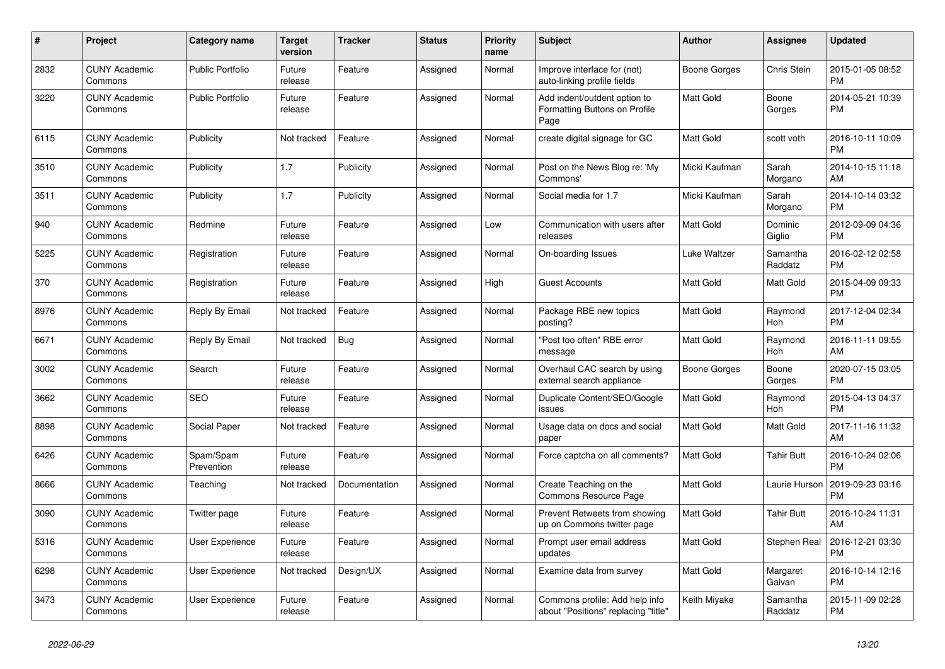| #    | <b>Project</b>                  | Category name           | <b>Target</b><br>version | <b>Tracker</b> | <b>Status</b> | Priority<br>name | <b>Subject</b>                                                        | <b>Author</b>    | Assignee              | <b>Updated</b>                |
|------|---------------------------------|-------------------------|--------------------------|----------------|---------------|------------------|-----------------------------------------------------------------------|------------------|-----------------------|-------------------------------|
| 2832 | <b>CUNY Academic</b><br>Commons | <b>Public Portfolio</b> | Future<br>release        | Feature        | Assigned      | Normal           | Improve interface for (not)<br>auto-linking profile fields            | Boone Gorges     | Chris Stein           | 2015-01-05 08:52<br><b>PM</b> |
| 3220 | <b>CUNY Academic</b><br>Commons | <b>Public Portfolio</b> | Future<br>release        | Feature        | Assigned      | Normal           | Add indent/outdent option to<br>Formatting Buttons on Profile<br>Page | <b>Matt Gold</b> | Boone<br>Gorges       | 2014-05-21 10:39<br><b>PM</b> |
| 6115 | <b>CUNY Academic</b><br>Commons | Publicity               | Not tracked              | Feature        | Assigned      | Normal           | create digital signage for GC                                         | Matt Gold        | scott voth            | 2016-10-11 10:09<br><b>PM</b> |
| 3510 | <b>CUNY Academic</b><br>Commons | Publicity               | 1.7                      | Publicity      | Assigned      | Normal           | Post on the News Blog re: 'My<br>Commons'                             | Micki Kaufman    | Sarah<br>Morgano      | 2014-10-15 11:18<br>AM        |
| 3511 | <b>CUNY Academic</b><br>Commons | Publicity               | 1.7                      | Publicity      | Assigned      | Normal           | Social media for 1.7                                                  | Micki Kaufman    | Sarah<br>Morgano      | 2014-10-14 03:32<br><b>PM</b> |
| 940  | <b>CUNY Academic</b><br>Commons | Redmine                 | Future<br>release        | Feature        | Assigned      | Low              | Communication with users after<br>releases                            | Matt Gold        | Dominic<br>Giglio     | 2012-09-09 04:36<br><b>PM</b> |
| 5225 | <b>CUNY Academic</b><br>Commons | Registration            | Future<br>release        | Feature        | Assigned      | Normal           | On-boarding Issues                                                    | Luke Waltzer     | Samantha<br>Raddatz   | 2016-02-12 02:58<br><b>PM</b> |
| 370  | <b>CUNY Academic</b><br>Commons | Registration            | Future<br>release        | Feature        | Assigned      | High             | <b>Guest Accounts</b>                                                 | <b>Matt Gold</b> | <b>Matt Gold</b>      | 2015-04-09 09:33<br><b>PM</b> |
| 8976 | <b>CUNY Academic</b><br>Commons | Reply By Email          | Not tracked              | Feature        | Assigned      | Normal           | Package RBE new topics<br>posting?                                    | <b>Matt Gold</b> | Raymond<br>Hoh        | 2017-12-04 02:34<br><b>PM</b> |
| 6671 | <b>CUNY Academic</b><br>Commons | Reply By Email          | Not tracked              | <b>Bug</b>     | Assigned      | Normal           | "Post too often" RBE error<br>message                                 | <b>Matt Gold</b> | Raymond<br><b>Hoh</b> | 2016-11-11 09:55<br>AM        |
| 3002 | <b>CUNY Academic</b><br>Commons | Search                  | Future<br>release        | Feature        | Assigned      | Normal           | Overhaul CAC search by using<br>external search appliance             | Boone Gorges     | Boone<br>Gorges       | 2020-07-15 03:05<br><b>PM</b> |
| 3662 | <b>CUNY Academic</b><br>Commons | <b>SEO</b>              | Future<br>release        | Feature        | Assigned      | Normal           | Duplicate Content/SEO/Google<br>issues                                | <b>Matt Gold</b> | Raymond<br>Hoh        | 2015-04-13 04:37<br><b>PM</b> |
| 8898 | <b>CUNY Academic</b><br>Commons | Social Paper            | Not tracked              | Feature        | Assigned      | Normal           | Usage data on docs and social<br>paper                                | Matt Gold        | Matt Gold             | 2017-11-16 11:32<br>AM        |
| 6426 | <b>CUNY Academic</b><br>Commons | Spam/Spam<br>Prevention | Future<br>release        | Feature        | Assigned      | Normal           | Force captcha on all comments?                                        | Matt Gold        | <b>Tahir Butt</b>     | 2016-10-24 02:06<br><b>PM</b> |
| 8666 | <b>CUNY Academic</b><br>Commons | Teaching                | Not tracked              | Documentation  | Assigned      | Normal           | Create Teaching on the<br>Commons Resource Page                       | <b>Matt Gold</b> | Laurie Hurson         | 2019-09-23 03:16<br><b>PM</b> |
| 3090 | <b>CUNY Academic</b><br>Commons | Twitter page            | Future<br>release        | Feature        | Assigned      | Normal           | Prevent Retweets from showing<br>up on Commons twitter page           | Matt Gold        | <b>Tahir Butt</b>     | 2016-10-24 11:31<br>AM        |
| 5316 | <b>CUNY Academic</b><br>Commons | User Experience         | Future<br>release        | Feature        | Assigned      | Normal           | Prompt user email address<br>updates                                  | Matt Gold        | Stephen Real          | 2016-12-21 03:30<br><b>PM</b> |
| 6298 | <b>CUNY Academic</b><br>Commons | User Experience         | Not tracked              | Design/UX      | Assigned      | Normal           | Examine data from survey                                              | <b>Matt Gold</b> | Margaret<br>Galvan    | 2016-10-14 12:16<br><b>PM</b> |
| 3473 | <b>CUNY Academic</b><br>Commons | User Experience         | Future<br>release        | Feature        | Assigned      | Normal           | Commons profile: Add help info<br>about "Positions" replacing "title" | Keith Miyake     | Samantha<br>Raddatz   | 2015-11-09 02:28<br><b>PM</b> |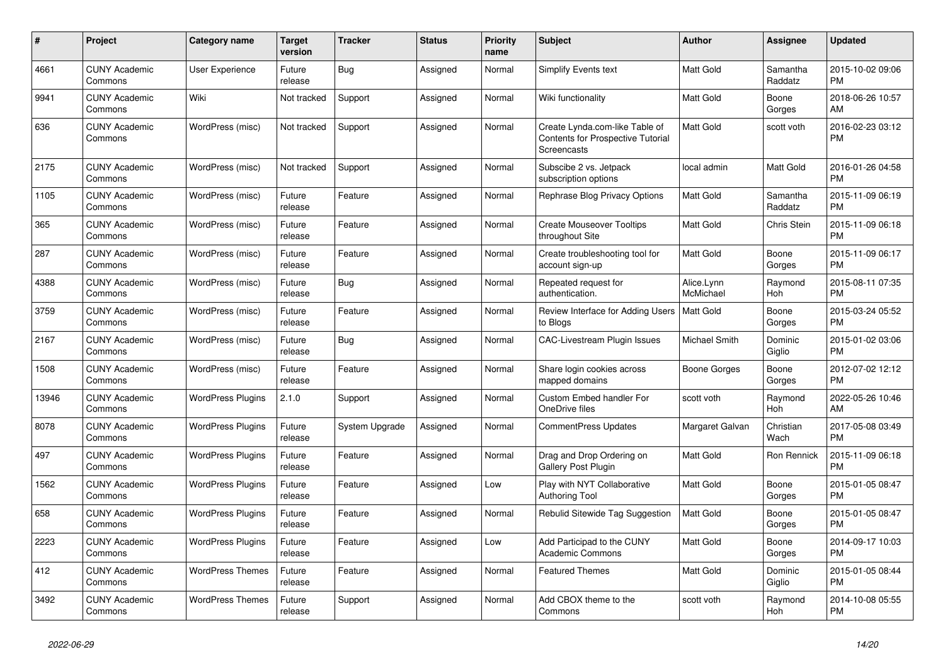| $\#$  | Project                         | <b>Category name</b>     | Target<br>version | <b>Tracker</b> | <b>Status</b> | <b>Priority</b><br>name | <b>Subject</b>                                                                            | <b>Author</b>           | <b>Assignee</b>       | <b>Updated</b>                |
|-------|---------------------------------|--------------------------|-------------------|----------------|---------------|-------------------------|-------------------------------------------------------------------------------------------|-------------------------|-----------------------|-------------------------------|
| 4661  | <b>CUNY Academic</b><br>Commons | <b>User Experience</b>   | Future<br>release | <b>Bug</b>     | Assigned      | Normal                  | <b>Simplify Events text</b>                                                               | <b>Matt Gold</b>        | Samantha<br>Raddatz   | 2015-10-02 09:06<br><b>PM</b> |
| 9941  | <b>CUNY Academic</b><br>Commons | Wiki                     | Not tracked       | Support        | Assigned      | Normal                  | Wiki functionality                                                                        | <b>Matt Gold</b>        | Boone<br>Gorges       | 2018-06-26 10:57<br>AM        |
| 636   | <b>CUNY Academic</b><br>Commons | WordPress (misc)         | Not tracked       | Support        | Assigned      | Normal                  | Create Lynda.com-like Table of<br><b>Contents for Prospective Tutorial</b><br>Screencasts | <b>Matt Gold</b>        | scott voth            | 2016-02-23 03:12<br><b>PM</b> |
| 2175  | <b>CUNY Academic</b><br>Commons | WordPress (misc)         | Not tracked       | Support        | Assigned      | Normal                  | Subscibe 2 vs. Jetpack<br>subscription options                                            | local admin             | <b>Matt Gold</b>      | 2016-01-26 04:58<br><b>PM</b> |
| 1105  | <b>CUNY Academic</b><br>Commons | WordPress (misc)         | Future<br>release | Feature        | Assigned      | Normal                  | Rephrase Blog Privacy Options                                                             | <b>Matt Gold</b>        | Samantha<br>Raddatz   | 2015-11-09 06:19<br><b>PM</b> |
| 365   | <b>CUNY Academic</b><br>Commons | WordPress (misc)         | Future<br>release | Feature        | Assigned      | Normal                  | <b>Create Mouseover Tooltips</b><br>throughout Site                                       | Matt Gold               | Chris Stein           | 2015-11-09 06:18<br><b>PM</b> |
| 287   | <b>CUNY Academic</b><br>Commons | WordPress (misc)         | Future<br>release | Feature        | Assigned      | Normal                  | Create troubleshooting tool for<br>account sign-up                                        | Matt Gold               | Boone<br>Gorges       | 2015-11-09 06:17<br><b>PM</b> |
| 4388  | <b>CUNY Academic</b><br>Commons | WordPress (misc)         | Future<br>release | Bug            | Assigned      | Normal                  | Repeated request for<br>authentication.                                                   | Alice.Lynn<br>McMichael | Raymond<br><b>Hoh</b> | 2015-08-11 07:35<br><b>PM</b> |
| 3759  | <b>CUNY Academic</b><br>Commons | WordPress (misc)         | Future<br>release | Feature        | Assigned      | Normal                  | Review Interface for Adding Users   Matt Gold<br>to Blogs                                 |                         | Boone<br>Gorges       | 2015-03-24 05:52<br><b>PM</b> |
| 2167  | <b>CUNY Academic</b><br>Commons | WordPress (misc)         | Future<br>release | <b>Bug</b>     | Assigned      | Normal                  | CAC-Livestream Plugin Issues                                                              | Michael Smith           | Dominic<br>Giglio     | 2015-01-02 03:06<br><b>PM</b> |
| 1508  | <b>CUNY Academic</b><br>Commons | WordPress (misc)         | Future<br>release | Feature        | Assigned      | Normal                  | Share login cookies across<br>mapped domains                                              | <b>Boone Gorges</b>     | Boone<br>Gorges       | 2012-07-02 12:12<br><b>PM</b> |
| 13946 | <b>CUNY Academic</b><br>Commons | <b>WordPress Plugins</b> | 2.1.0             | Support        | Assigned      | Normal                  | Custom Embed handler For<br>OneDrive files                                                | scott voth              | Raymond<br>Hoh        | 2022-05-26 10:46<br>AM        |
| 8078  | <b>CUNY Academic</b><br>Commons | <b>WordPress Plugins</b> | Future<br>release | System Upgrade | Assigned      | Normal                  | <b>CommentPress Updates</b>                                                               | Margaret Galvan         | Christian<br>Wach     | 2017-05-08 03:49<br><b>PM</b> |
| 497   | <b>CUNY Academic</b><br>Commons | <b>WordPress Plugins</b> | Future<br>release | Feature        | Assigned      | Normal                  | Drag and Drop Ordering on<br><b>Gallery Post Plugin</b>                                   | <b>Matt Gold</b>        | Ron Rennick           | 2015-11-09 06:18<br><b>PM</b> |
| 1562  | <b>CUNY Academic</b><br>Commons | <b>WordPress Plugins</b> | Future<br>release | Feature        | Assigned      | Low                     | Play with NYT Collaborative<br><b>Authoring Tool</b>                                      | <b>Matt Gold</b>        | Boone<br>Gorges       | 2015-01-05 08:47<br><b>PM</b> |
| 658   | <b>CUNY Academic</b><br>Commons | <b>WordPress Plugins</b> | Future<br>release | Feature        | Assigned      | Normal                  | Rebulid Sitewide Tag Suggestion                                                           | <b>Matt Gold</b>        | Boone<br>Gorges       | 2015-01-05 08:47<br><b>PM</b> |
| 2223  | <b>CUNY Academic</b><br>Commons | <b>WordPress Plugins</b> | Future<br>release | Feature        | Assigned      | Low                     | Add Participad to the CUNY<br><b>Academic Commons</b>                                     | Matt Gold               | Boone<br>Gorges       | 2014-09-17 10:03<br><b>PM</b> |
| 412   | <b>CUNY Academic</b><br>Commons | <b>WordPress Themes</b>  | Future<br>release | Feature        | Assigned      | Normal                  | <b>Featured Themes</b>                                                                    | Matt Gold               | Dominic<br>Giglio     | 2015-01-05 08:44<br><b>PM</b> |
| 3492  | <b>CUNY Academic</b><br>Commons | <b>WordPress Themes</b>  | Future<br>release | Support        | Assigned      | Normal                  | Add CBOX theme to the<br>Commons                                                          | scott voth              | Raymond<br>Hoh        | 2014-10-08 05:55<br><b>PM</b> |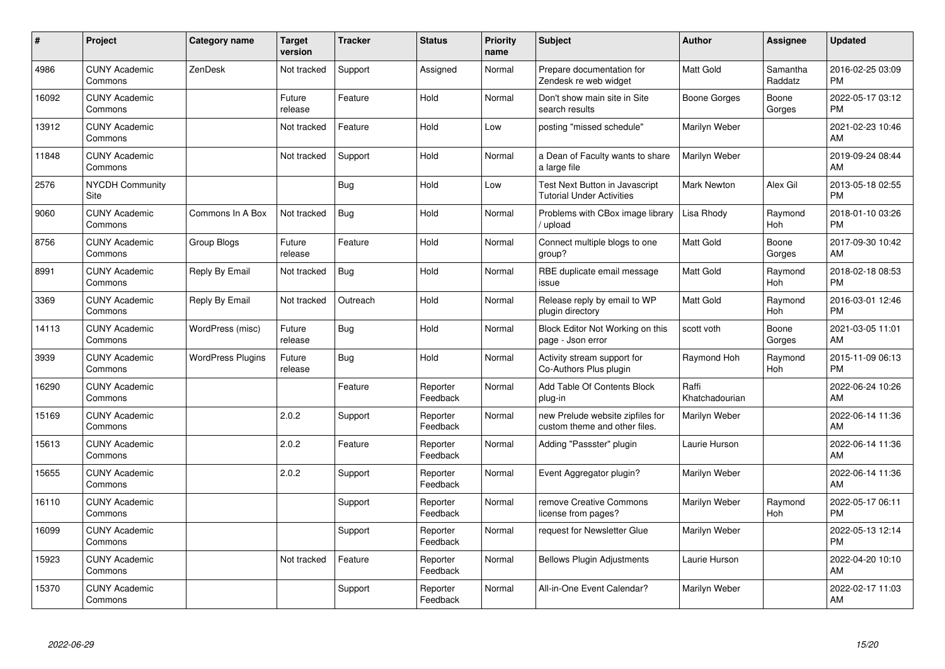| #     | <b>Project</b>                  | Category name            | <b>Target</b><br>version | <b>Tracker</b> | <b>Status</b>        | <b>Priority</b><br>name | <b>Subject</b>                                                            | <b>Author</b>           | Assignee            | <b>Updated</b>                |
|-------|---------------------------------|--------------------------|--------------------------|----------------|----------------------|-------------------------|---------------------------------------------------------------------------|-------------------------|---------------------|-------------------------------|
| 4986  | <b>CUNY Academic</b><br>Commons | ZenDesk                  | Not tracked              | Support        | Assigned             | Normal                  | Prepare documentation for<br>Zendesk re web widget                        | Matt Gold               | Samantha<br>Raddatz | 2016-02-25 03:09<br><b>PM</b> |
| 16092 | <b>CUNY Academic</b><br>Commons |                          | Future<br>release        | Feature        | Hold                 | Normal                  | Don't show main site in Site<br>search results                            | Boone Gorges            | Boone<br>Gorges     | 2022-05-17 03:12<br><b>PM</b> |
| 13912 | <b>CUNY Academic</b><br>Commons |                          | Not tracked              | Feature        | Hold                 | Low                     | posting "missed schedule"                                                 | Marilyn Weber           |                     | 2021-02-23 10:46<br>AM        |
| 11848 | <b>CUNY Academic</b><br>Commons |                          | Not tracked              | Support        | Hold                 | Normal                  | a Dean of Faculty wants to share<br>a large file                          | Marilyn Weber           |                     | 2019-09-24 08:44<br>AM        |
| 2576  | NYCDH Community<br>Site         |                          |                          | Bug            | Hold                 | Low                     | <b>Test Next Button in Javascript</b><br><b>Tutorial Under Activities</b> | <b>Mark Newton</b>      | Alex Gil            | 2013-05-18 02:55<br><b>PM</b> |
| 9060  | <b>CUNY Academic</b><br>Commons | Commons In A Box         | Not tracked              | Bug            | Hold                 | Normal                  | Problems with CBox image library<br>upload                                | Lisa Rhody              | Raymond<br>Hoh      | 2018-01-10 03:26<br>PM        |
| 8756  | <b>CUNY Academic</b><br>Commons | Group Blogs              | Future<br>release        | Feature        | Hold                 | Normal                  | Connect multiple blogs to one<br>group?                                   | Matt Gold               | Boone<br>Gorges     | 2017-09-30 10:42<br>AM        |
| 8991  | <b>CUNY Academic</b><br>Commons | Reply By Email           | Not tracked              | <b>Bug</b>     | Hold                 | Normal                  | RBE duplicate email message<br>issue                                      | Matt Gold               | Raymond<br>Hoh      | 2018-02-18 08:53<br><b>PM</b> |
| 3369  | <b>CUNY Academic</b><br>Commons | Reply By Email           | Not tracked              | Outreach       | Hold                 | Normal                  | Release reply by email to WP<br>plugin directory                          | Matt Gold               | Raymond<br>Hoh      | 2016-03-01 12:46<br><b>PM</b> |
| 14113 | <b>CUNY Academic</b><br>Commons | WordPress (misc)         | Future<br>release        | Bug            | Hold                 | Normal                  | Block Editor Not Working on this<br>page - Json error                     | scott voth              | Boone<br>Gorges     | 2021-03-05 11:01<br>AM        |
| 3939  | <b>CUNY Academic</b><br>Commons | <b>WordPress Plugins</b> | Future<br>release        | Bug            | Hold                 | Normal                  | Activity stream support for<br>Co-Authors Plus plugin                     | Raymond Hoh             | Raymond<br>Hoh      | 2015-11-09 06:13<br>PM        |
| 16290 | <b>CUNY Academic</b><br>Commons |                          |                          | Feature        | Reporter<br>Feedback | Normal                  | Add Table Of Contents Block<br>plug-in                                    | Raffi<br>Khatchadourian |                     | 2022-06-24 10:26<br>AM        |
| 15169 | <b>CUNY Academic</b><br>Commons |                          | 2.0.2                    | Support        | Reporter<br>Feedback | Normal                  | new Prelude website zipfiles for<br>custom theme and other files.         | Marilyn Weber           |                     | 2022-06-14 11:36<br>AM        |
| 15613 | <b>CUNY Academic</b><br>Commons |                          | 2.0.2                    | Feature        | Reporter<br>Feedback | Normal                  | Adding "Passster" plugin                                                  | Laurie Hurson           |                     | 2022-06-14 11:36<br>AM        |
| 15655 | <b>CUNY Academic</b><br>Commons |                          | 2.0.2                    | Support        | Reporter<br>Feedback | Normal                  | Event Aggregator plugin?                                                  | Marilyn Weber           |                     | 2022-06-14 11:36<br>AM        |
| 16110 | <b>CUNY Academic</b><br>Commons |                          |                          | Support        | Reporter<br>Feedback | Normal                  | remove Creative Commons<br>license from pages?                            | Marilyn Weber           | Raymond<br>Hoh      | 2022-05-17 06:11<br><b>PM</b> |
| 16099 | <b>CUNY Academic</b><br>Commons |                          |                          | Support        | Reporter<br>Feedback | Normal                  | request for Newsletter Glue                                               | Marilyn Weber           |                     | 2022-05-13 12:14<br>PM        |
| 15923 | <b>CUNY Academic</b><br>Commons |                          | Not tracked              | Feature        | Reporter<br>Feedback | Normal                  | <b>Bellows Plugin Adjustments</b>                                         | Laurie Hurson           |                     | 2022-04-20 10:10<br>AM        |
| 15370 | <b>CUNY Academic</b><br>Commons |                          |                          | Support        | Reporter<br>Feedback | Normal                  | All-in-One Event Calendar?                                                | Marilyn Weber           |                     | 2022-02-17 11:03<br>AM        |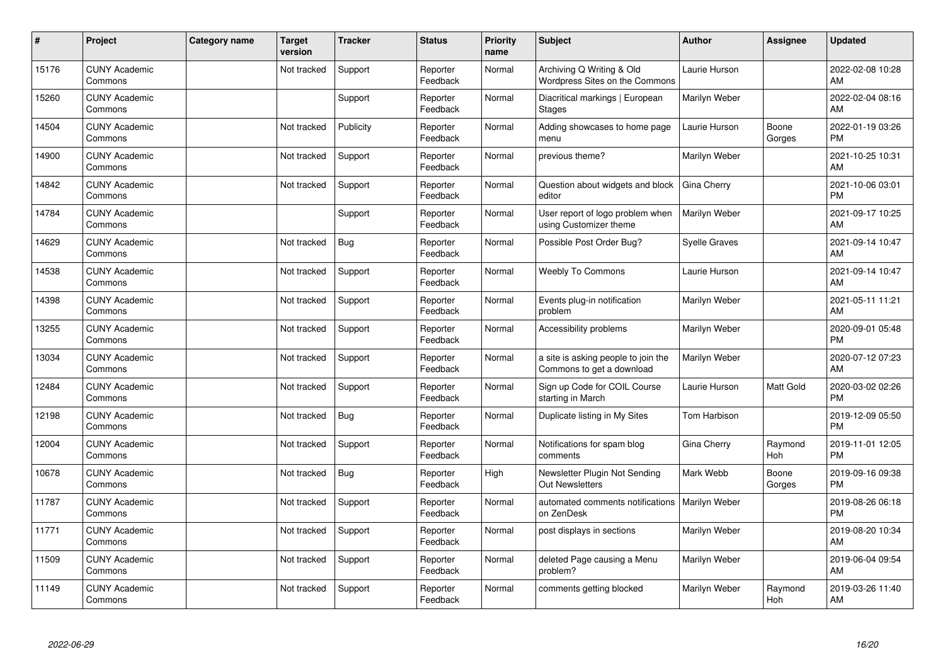| #     | Project                         | Category name | <b>Target</b><br>version | <b>Tracker</b> | <b>Status</b>        | <b>Priority</b><br>name | <b>Subject</b>                                                   | Author               | <b>Assignee</b> | <b>Updated</b>                |
|-------|---------------------------------|---------------|--------------------------|----------------|----------------------|-------------------------|------------------------------------------------------------------|----------------------|-----------------|-------------------------------|
| 15176 | <b>CUNY Academic</b><br>Commons |               | Not tracked              | Support        | Reporter<br>Feedback | Normal                  | Archiving Q Writing & Old<br>Wordpress Sites on the Commons      | Laurie Hurson        |                 | 2022-02-08 10:28<br>AM        |
| 15260 | <b>CUNY Academic</b><br>Commons |               |                          | Support        | Reporter<br>Feedback | Normal                  | Diacritical markings   European<br>Stages                        | Marilyn Weber        |                 | 2022-02-04 08:16<br>AM        |
| 14504 | <b>CUNY Academic</b><br>Commons |               | Not tracked              | Publicity      | Reporter<br>Feedback | Normal                  | Adding showcases to home page<br>menu                            | Laurie Hurson        | Boone<br>Gorges | 2022-01-19 03:26<br><b>PM</b> |
| 14900 | <b>CUNY Academic</b><br>Commons |               | Not tracked              | Support        | Reporter<br>Feedback | Normal                  | previous theme?                                                  | Marilyn Weber        |                 | 2021-10-25 10:31<br>AM        |
| 14842 | <b>CUNY Academic</b><br>Commons |               | Not tracked              | Support        | Reporter<br>Feedback | Normal                  | Question about widgets and block<br>editor                       | Gina Cherry          |                 | 2021-10-06 03:01<br><b>PM</b> |
| 14784 | <b>CUNY Academic</b><br>Commons |               |                          | Support        | Reporter<br>Feedback | Normal                  | User report of logo problem when<br>using Customizer theme       | Marilyn Weber        |                 | 2021-09-17 10:25<br>AM        |
| 14629 | <b>CUNY Academic</b><br>Commons |               | Not tracked              | <b>Bug</b>     | Reporter<br>Feedback | Normal                  | Possible Post Order Bug?                                         | <b>Syelle Graves</b> |                 | 2021-09-14 10:47<br>AM        |
| 14538 | <b>CUNY Academic</b><br>Commons |               | Not tracked              | Support        | Reporter<br>Feedback | Normal                  | Weebly To Commons                                                | Laurie Hurson        |                 | 2021-09-14 10:47<br>AM        |
| 14398 | <b>CUNY Academic</b><br>Commons |               | Not tracked              | Support        | Reporter<br>Feedback | Normal                  | Events plug-in notification<br>problem                           | Marilyn Weber        |                 | 2021-05-11 11:21<br>AM        |
| 13255 | <b>CUNY Academic</b><br>Commons |               | Not tracked              | Support        | Reporter<br>Feedback | Normal                  | Accessibility problems                                           | Marilyn Weber        |                 | 2020-09-01 05:48<br><b>PM</b> |
| 13034 | <b>CUNY Academic</b><br>Commons |               | Not tracked              | Support        | Reporter<br>Feedback | Normal                  | a site is asking people to join the<br>Commons to get a download | Marilyn Weber        |                 | 2020-07-12 07:23<br>AM        |
| 12484 | <b>CUNY Academic</b><br>Commons |               | Not tracked              | Support        | Reporter<br>Feedback | Normal                  | Sign up Code for COIL Course<br>starting in March                | Laurie Hurson        | Matt Gold       | 2020-03-02 02:26<br><b>PM</b> |
| 12198 | <b>CUNY Academic</b><br>Commons |               | Not tracked              | <b>Bug</b>     | Reporter<br>Feedback | Normal                  | Duplicate listing in My Sites                                    | Tom Harbison         |                 | 2019-12-09 05:50<br><b>PM</b> |
| 12004 | <b>CUNY Academic</b><br>Commons |               | Not tracked              | Support        | Reporter<br>Feedback | Normal                  | Notifications for spam blog<br>comments                          | Gina Cherry          | Raymond<br>Hoh  | 2019-11-01 12:05<br><b>PM</b> |
| 10678 | <b>CUNY Academic</b><br>Commons |               | Not tracked              | <b>Bug</b>     | Reporter<br>Feedback | High                    | Newsletter Plugin Not Sending<br><b>Out Newsletters</b>          | Mark Webb            | Boone<br>Gorges | 2019-09-16 09:38<br><b>PM</b> |
| 11787 | <b>CUNY Academic</b><br>Commons |               | Not tracked              | Support        | Reporter<br>Feedback | Normal                  | automated comments notifications   Marilyn Weber<br>on ZenDesk   |                      |                 | 2019-08-26 06:18<br><b>PM</b> |
| 11771 | <b>CUNY Academic</b><br>Commons |               | Not tracked              | Support        | Reporter<br>Feedback | Normal                  | post displays in sections                                        | Marilyn Weber        |                 | 2019-08-20 10:34<br>AM        |
| 11509 | <b>CUNY Academic</b><br>Commons |               | Not tracked              | Support        | Reporter<br>Feedback | Normal                  | deleted Page causing a Menu<br>problem?                          | Marilyn Weber        |                 | 2019-06-04 09:54<br>AM        |
| 11149 | <b>CUNY Academic</b><br>Commons |               | Not tracked              | Support        | Reporter<br>Feedback | Normal                  | comments getting blocked                                         | Marilyn Weber        | Raymond<br>Hoh  | 2019-03-26 11:40<br>AM        |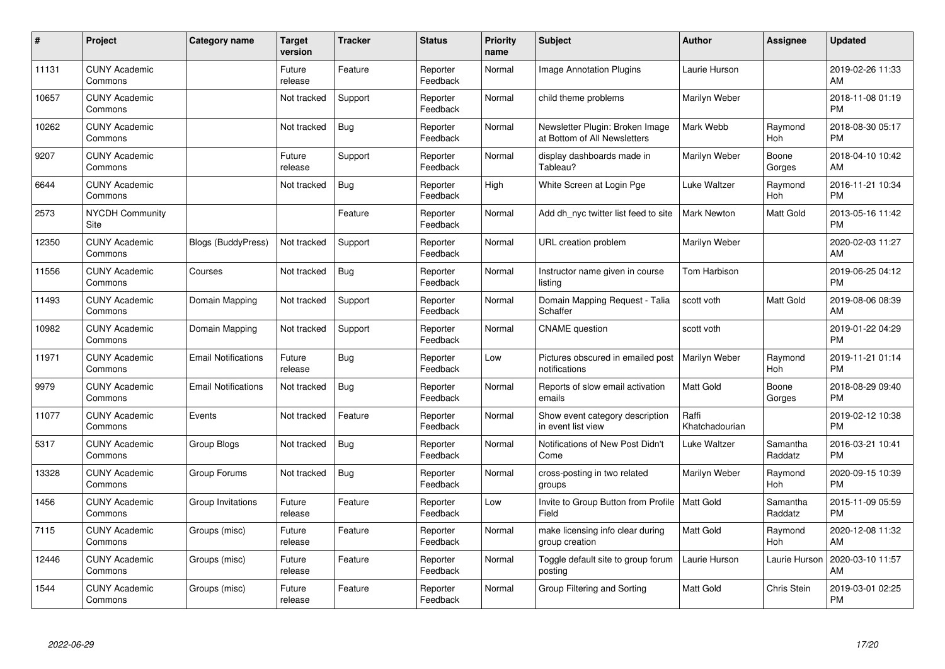| #     | Project                         | <b>Category name</b>       | <b>Target</b><br>version | <b>Tracker</b> | <b>Status</b>        | <b>Priority</b><br>name | <b>Subject</b>                                                  | <b>Author</b>           | <b>Assignee</b>       | <b>Updated</b>                |
|-------|---------------------------------|----------------------------|--------------------------|----------------|----------------------|-------------------------|-----------------------------------------------------------------|-------------------------|-----------------------|-------------------------------|
| 11131 | <b>CUNY Academic</b><br>Commons |                            | Future<br>release        | Feature        | Reporter<br>Feedback | Normal                  | <b>Image Annotation Plugins</b>                                 | Laurie Hurson           |                       | 2019-02-26 11:33<br>AM        |
| 10657 | <b>CUNY Academic</b><br>Commons |                            | Not tracked              | Support        | Reporter<br>Feedback | Normal                  | child theme problems                                            | Marilyn Weber           |                       | 2018-11-08 01:19<br><b>PM</b> |
| 10262 | <b>CUNY Academic</b><br>Commons |                            | Not tracked              | <b>Bug</b>     | Reporter<br>Feedback | Normal                  | Newsletter Plugin: Broken Image<br>at Bottom of All Newsletters | Mark Webb               | Raymond<br>Hoh        | 2018-08-30 05:17<br><b>PM</b> |
| 9207  | <b>CUNY Academic</b><br>Commons |                            | Future<br>release        | Support        | Reporter<br>Feedback | Normal                  | display dashboards made in<br>Tableau?                          | Marilyn Weber           | Boone<br>Gorges       | 2018-04-10 10:42<br>AM        |
| 6644  | <b>CUNY Academic</b><br>Commons |                            | Not tracked              | <b>Bug</b>     | Reporter<br>Feedback | High                    | White Screen at Login Pge                                       | <b>Luke Waltzer</b>     | Raymond<br><b>Hoh</b> | 2016-11-21 10:34<br><b>PM</b> |
| 2573  | <b>NYCDH Community</b><br>Site  |                            |                          | Feature        | Reporter<br>Feedback | Normal                  | Add dh nyc twitter list feed to site                            | <b>Mark Newton</b>      | Matt Gold             | 2013-05-16 11:42<br><b>PM</b> |
| 12350 | <b>CUNY Academic</b><br>Commons | <b>Blogs (BuddyPress)</b>  | Not tracked              | Support        | Reporter<br>Feedback | Normal                  | <b>URL</b> creation problem                                     | Marilyn Weber           |                       | 2020-02-03 11:27<br>AM        |
| 11556 | <b>CUNY Academic</b><br>Commons | Courses                    | Not tracked              | Bug            | Reporter<br>Feedback | Normal                  | Instructor name given in course<br>listing                      | Tom Harbison            |                       | 2019-06-25 04:12<br><b>PM</b> |
| 11493 | <b>CUNY Academic</b><br>Commons | Domain Mapping             | Not tracked              | Support        | Reporter<br>Feedback | Normal                  | Domain Mapping Request - Talia<br>Schaffer                      | scott voth              | <b>Matt Gold</b>      | 2019-08-06 08:39<br>AM        |
| 10982 | <b>CUNY Academic</b><br>Commons | Domain Mapping             | Not tracked              | Support        | Reporter<br>Feedback | Normal                  | <b>CNAME</b> question                                           | scott voth              |                       | 2019-01-22 04:29<br><b>PM</b> |
| 11971 | <b>CUNY Academic</b><br>Commons | <b>Email Notifications</b> | Future<br>release        | Bug            | Reporter<br>Feedback | Low                     | Pictures obscured in emailed post<br>notifications              | Marilyn Weber           | Raymond<br>Hoh        | 2019-11-21 01:14<br><b>PM</b> |
| 9979  | <b>CUNY Academic</b><br>Commons | <b>Email Notifications</b> | Not tracked              | Bug            | Reporter<br>Feedback | Normal                  | Reports of slow email activation<br>emails                      | Matt Gold               | Boone<br>Gorges       | 2018-08-29 09:40<br><b>PM</b> |
| 11077 | <b>CUNY Academic</b><br>Commons | Events                     | Not tracked              | Feature        | Reporter<br>Feedback | Normal                  | Show event category description<br>in event list view           | Raffi<br>Khatchadourian |                       | 2019-02-12 10:38<br><b>PM</b> |
| 5317  | <b>CUNY Academic</b><br>Commons | Group Blogs                | Not tracked              | <b>Bug</b>     | Reporter<br>Feedback | Normal                  | Notifications of New Post Didn't<br>Come                        | Luke Waltzer            | Samantha<br>Raddatz   | 2016-03-21 10:41<br><b>PM</b> |
| 13328 | <b>CUNY Academic</b><br>Commons | Group Forums               | Not tracked              | Bug            | Reporter<br>Feedback | Normal                  | cross-posting in two related<br>groups                          | Marilyn Weber           | Raymond<br>Hoh        | 2020-09-15 10:39<br><b>PM</b> |
| 1456  | <b>CUNY Academic</b><br>Commons | Group Invitations          | Future<br>release        | Feature        | Reporter<br>Feedback | Low                     | Invite to Group Button from Profile<br>Field                    | <b>Matt Gold</b>        | Samantha<br>Raddatz   | 2015-11-09 05:59<br><b>PM</b> |
| 7115  | <b>CUNY Academic</b><br>Commons | Groups (misc)              | Future<br>release        | Feature        | Reporter<br>Feedback | Normal                  | make licensing info clear during<br>group creation              | <b>Matt Gold</b>        | Raymond<br><b>Hoh</b> | 2020-12-08 11:32<br>AM        |
| 12446 | <b>CUNY Academic</b><br>Commons | Groups (misc)              | Future<br>release        | Feature        | Reporter<br>Feedback | Normal                  | Toggle default site to group forum<br>posting                   | Laurie Hurson           | Laurie Hurson         | 2020-03-10 11:57<br>AM        |
| 1544  | <b>CUNY Academic</b><br>Commons | Groups (misc)              | Future<br>release        | Feature        | Reporter<br>Feedback | Normal                  | Group Filtering and Sorting                                     | Matt Gold               | Chris Stein           | 2019-03-01 02:25<br>PM        |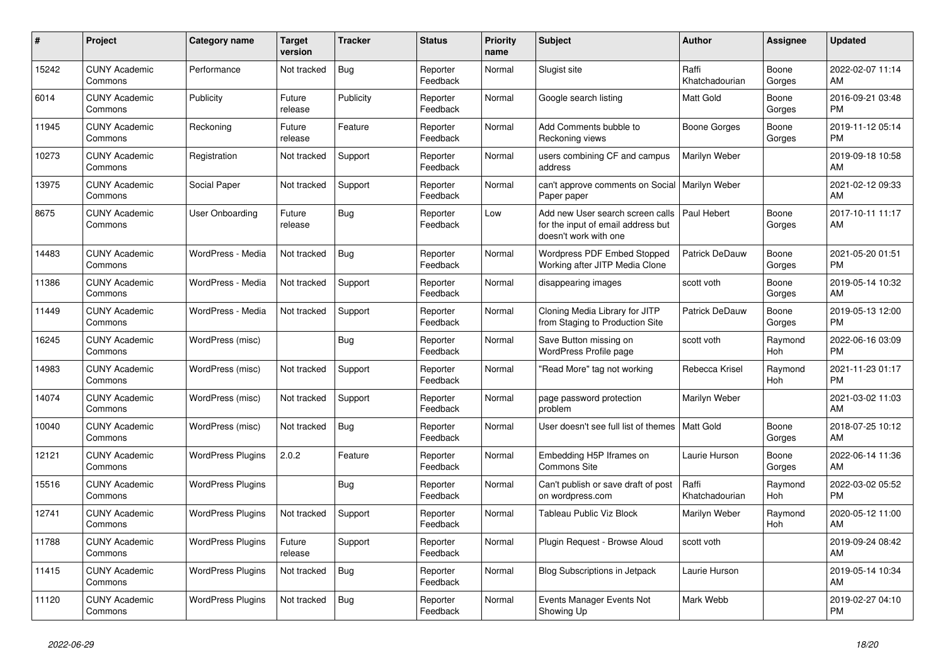| #     | <b>Project</b>                  | Category name            | Target<br>version | Tracker    | <b>Status</b>        | <b>Priority</b><br>name | <b>Subject</b>                                                                                  | <b>Author</b>           | Assignee        | <b>Updated</b>                |
|-------|---------------------------------|--------------------------|-------------------|------------|----------------------|-------------------------|-------------------------------------------------------------------------------------------------|-------------------------|-----------------|-------------------------------|
| 15242 | <b>CUNY Academic</b><br>Commons | Performance              | Not tracked       | <b>Bug</b> | Reporter<br>Feedback | Normal                  | Slugist site                                                                                    | Raffi<br>Khatchadourian | Boone<br>Gorges | 2022-02-07 11:14<br>AM        |
| 6014  | <b>CUNY Academic</b><br>Commons | Publicity                | Future<br>release | Publicity  | Reporter<br>Feedback | Normal                  | Google search listing                                                                           | <b>Matt Gold</b>        | Boone<br>Gorges | 2016-09-21 03:48<br><b>PM</b> |
| 11945 | <b>CUNY Academic</b><br>Commons | Reckoning                | Future<br>release | Feature    | Reporter<br>Feedback | Normal                  | Add Comments bubble to<br>Reckoning views                                                       | Boone Gorges            | Boone<br>Gorges | 2019-11-12 05:14<br><b>PM</b> |
| 10273 | <b>CUNY Academic</b><br>Commons | Registration             | Not tracked       | Support    | Reporter<br>Feedback | Normal                  | users combining CF and campus<br>address                                                        | Marilyn Weber           |                 | 2019-09-18 10:58<br>AM        |
| 13975 | <b>CUNY Academic</b><br>Commons | Social Paper             | Not tracked       | Support    | Reporter<br>Feedback | Normal                  | can't approve comments on Social<br>Paper paper                                                 | Marilyn Weber           |                 | 2021-02-12 09:33<br>AM        |
| 8675  | <b>CUNY Academic</b><br>Commons | User Onboarding          | Future<br>release | Bug        | Reporter<br>Feedback | Low                     | Add new User search screen calls<br>for the input of email address but<br>doesn't work with one | Paul Hebert             | Boone<br>Gorges | 2017-10-11 11:17<br>AM        |
| 14483 | <b>CUNY Academic</b><br>Commons | WordPress - Media        | Not tracked       | <b>Bug</b> | Reporter<br>Feedback | Normal                  | Wordpress PDF Embed Stopped<br>Working after JITP Media Clone                                   | Patrick DeDauw          | Boone<br>Gorges | 2021-05-20 01:51<br><b>PM</b> |
| 11386 | <b>CUNY Academic</b><br>Commons | WordPress - Media        | Not tracked       | Support    | Reporter<br>Feedback | Normal                  | disappearing images                                                                             | scott voth              | Boone<br>Gorges | 2019-05-14 10:32<br>AM        |
| 11449 | <b>CUNY Academic</b><br>Commons | WordPress - Media        | Not tracked       | Support    | Reporter<br>Feedback | Normal                  | Cloning Media Library for JITP<br>from Staging to Production Site                               | Patrick DeDauw          | Boone<br>Gorges | 2019-05-13 12:00<br><b>PM</b> |
| 16245 | <b>CUNY Academic</b><br>Commons | WordPress (misc)         |                   | <b>Bug</b> | Reporter<br>Feedback | Normal                  | Save Button missing on<br>WordPress Profile page                                                | scott voth              | Raymond<br>Hoh  | 2022-06-16 03:09<br><b>PM</b> |
| 14983 | <b>CUNY Academic</b><br>Commons | WordPress (misc)         | Not tracked       | Support    | Reporter<br>Feedback | Normal                  | 'Read More" tag not working                                                                     | Rebecca Krisel          | Raymond<br>Hoh  | 2021-11-23 01:17<br><b>PM</b> |
| 14074 | <b>CUNY Academic</b><br>Commons | WordPress (misc)         | Not tracked       | Support    | Reporter<br>Feedback | Normal                  | page password protection<br>problem                                                             | Marilyn Weber           |                 | 2021-03-02 11:03<br>AM        |
| 10040 | <b>CUNY Academic</b><br>Commons | WordPress (misc)         | Not tracked       | <b>Bug</b> | Reporter<br>Feedback | Normal                  | User doesn't see full list of themes                                                            | <b>Matt Gold</b>        | Boone<br>Gorges | 2018-07-25 10:12<br>AM        |
| 12121 | <b>CUNY Academic</b><br>Commons | <b>WordPress Plugins</b> | 2.0.2             | Feature    | Reporter<br>Feedback | Normal                  | Embedding H5P Iframes on<br><b>Commons Site</b>                                                 | Laurie Hurson           | Boone<br>Gorges | 2022-06-14 11:36<br>AM        |
| 15516 | <b>CUNY Academic</b><br>Commons | <b>WordPress Plugins</b> |                   | Bug        | Reporter<br>Feedback | Normal                  | Can't publish or save draft of post<br>on wordpress.com                                         | Raffi<br>Khatchadourian | Raymond<br>Hoh  | 2022-03-02 05:52<br><b>PM</b> |
| 12741 | <b>CUNY Academic</b><br>Commons | <b>WordPress Plugins</b> | Not tracked       | Support    | Reporter<br>Feedback | Normal                  | <b>Tableau Public Viz Block</b>                                                                 | Marilyn Weber           | Raymond<br>Hoh  | 2020-05-12 11:00<br>AM        |
| 11788 | <b>CUNY Academic</b><br>Commons | <b>WordPress Plugins</b> | Future<br>release | Support    | Reporter<br>Feedback | Normal                  | Plugin Request - Browse Aloud                                                                   | scott voth              |                 | 2019-09-24 08:42<br>AM        |
| 11415 | <b>CUNY Academic</b><br>Commons | <b>WordPress Plugins</b> | Not tracked       | <b>Bug</b> | Reporter<br>Feedback | Normal                  | <b>Blog Subscriptions in Jetpack</b>                                                            | Laurie Hurson           |                 | 2019-05-14 10:34<br>AM        |
| 11120 | <b>CUNY Academic</b><br>Commons | <b>WordPress Plugins</b> | Not tracked       | <b>Bug</b> | Reporter<br>Feedback | Normal                  | Events Manager Events Not<br>Showing Up                                                         | Mark Webb               |                 | 2019-02-27 04:10<br><b>PM</b> |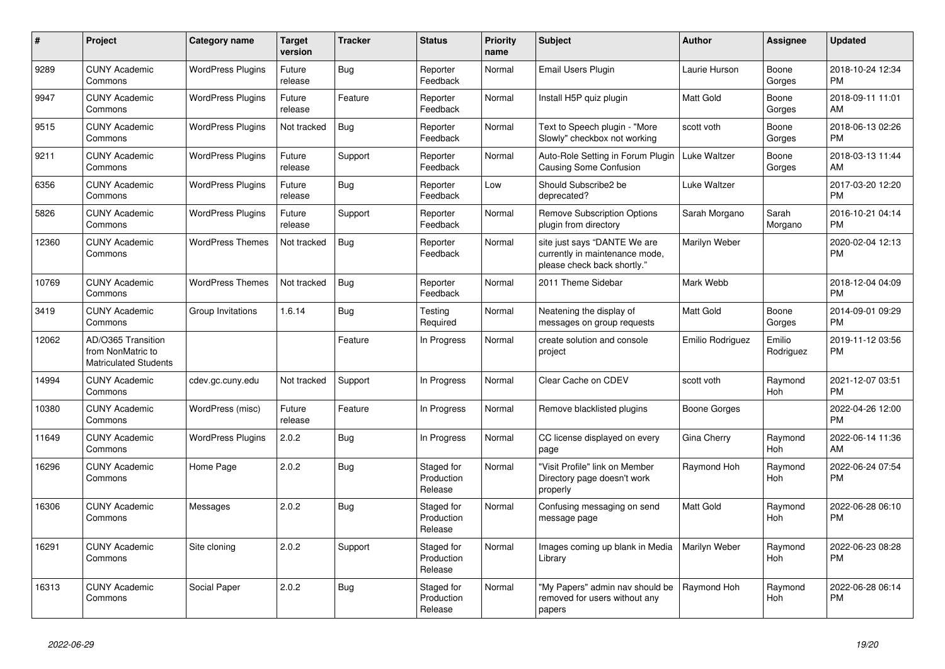| #     | <b>Project</b>                                                          | Category name            | <b>Target</b><br>version | <b>Tracker</b> | <b>Status</b>                       | <b>Priority</b><br>name | <b>Subject</b>                                                                                | <b>Author</b>    | Assignee              | <b>Updated</b>                |
|-------|-------------------------------------------------------------------------|--------------------------|--------------------------|----------------|-------------------------------------|-------------------------|-----------------------------------------------------------------------------------------------|------------------|-----------------------|-------------------------------|
| 9289  | <b>CUNY Academic</b><br>Commons                                         | <b>WordPress Plugins</b> | Future<br>release        | <b>Bug</b>     | Reporter<br>Feedback                | Normal                  | Email Users Plugin                                                                            | Laurie Hurson    | Boone<br>Gorges       | 2018-10-24 12:34<br><b>PM</b> |
| 9947  | <b>CUNY Academic</b><br>Commons                                         | <b>WordPress Plugins</b> | Future<br>release        | Feature        | Reporter<br>Feedback                | Normal                  | Install H5P quiz plugin                                                                       | <b>Matt Gold</b> | Boone<br>Gorges       | 2018-09-11 11:01<br>AM        |
| 9515  | <b>CUNY Academic</b><br>Commons                                         | <b>WordPress Plugins</b> | Not tracked              | <b>Bug</b>     | Reporter<br>Feedback                | Normal                  | Text to Speech plugin - "More<br>Slowly" checkbox not working                                 | scott voth       | Boone<br>Gorges       | 2018-06-13 02:26<br><b>PM</b> |
| 9211  | <b>CUNY Academic</b><br>Commons                                         | <b>WordPress Plugins</b> | Future<br>release        | Support        | Reporter<br>Feedback                | Normal                  | Auto-Role Setting in Forum Plugin<br>Causing Some Confusion                                   | Luke Waltzer     | Boone<br>Gorges       | 2018-03-13 11:44<br>AM        |
| 6356  | <b>CUNY Academic</b><br>Commons                                         | <b>WordPress Plugins</b> | Future<br>release        | Bug            | Reporter<br>Feedback                | Low                     | Should Subscribe2 be<br>deprecated?                                                           | Luke Waltzer     |                       | 2017-03-20 12:20<br><b>PM</b> |
| 5826  | <b>CUNY Academic</b><br>Commons                                         | <b>WordPress Plugins</b> | Future<br>release        | Support        | Reporter<br>Feedback                | Normal                  | <b>Remove Subscription Options</b><br>plugin from directory                                   | Sarah Morgano    | Sarah<br>Morgano      | 2016-10-21 04:14<br><b>PM</b> |
| 12360 | <b>CUNY Academic</b><br>Commons                                         | <b>WordPress Themes</b>  | Not tracked              | <b>Bug</b>     | Reporter<br>Feedback                | Normal                  | site just says "DANTE We are<br>currently in maintenance mode,<br>please check back shortly." | Marilyn Weber    |                       | 2020-02-04 12:13<br><b>PM</b> |
| 10769 | <b>CUNY Academic</b><br>Commons                                         | <b>WordPress Themes</b>  | Not tracked              | Bug            | Reporter<br>Feedback                | Normal                  | 2011 Theme Sidebar                                                                            | Mark Webb        |                       | 2018-12-04 04:09<br><b>PM</b> |
| 3419  | <b>CUNY Academic</b><br>Commons                                         | Group Invitations        | 1.6.14                   | <b>Bug</b>     | Testing<br>Required                 | Normal                  | Neatening the display of<br>messages on group requests                                        | Matt Gold        | Boone<br>Gorges       | 2014-09-01 09:29<br><b>PM</b> |
| 12062 | AD/O365 Transition<br>from NonMatric to<br><b>Matriculated Students</b> |                          |                          | Feature        | In Progress                         | Normal                  | create solution and console<br>project                                                        | Emilio Rodriguez | Emilio<br>Rodriguez   | 2019-11-12 03:56<br><b>PM</b> |
| 14994 | <b>CUNY Academic</b><br>Commons                                         | cdev.gc.cuny.edu         | Not tracked              | Support        | In Progress                         | Normal                  | Clear Cache on CDEV                                                                           | scott voth       | Raymond<br>Hoh        | 2021-12-07 03:51<br><b>PM</b> |
| 10380 | <b>CUNY Academic</b><br>Commons                                         | WordPress (misc)         | Future<br>release        | Feature        | In Progress                         | Normal                  | Remove blacklisted plugins                                                                    | Boone Gorges     |                       | 2022-04-26 12:00<br><b>PM</b> |
| 11649 | <b>CUNY Academic</b><br>Commons                                         | <b>WordPress Plugins</b> | 2.0.2                    | <b>Bug</b>     | In Progress                         | Normal                  | CC license displayed on every<br>page                                                         | Gina Cherry      | Raymond<br><b>Hoh</b> | 2022-06-14 11:36<br>AM        |
| 16296 | <b>CUNY Academic</b><br>Commons                                         | Home Page                | 2.0.2                    | Bug            | Staged for<br>Production<br>Release | Normal                  | "Visit Profile" link on Member<br>Directory page doesn't work<br>properly                     | Raymond Hoh      | Raymond<br>Hoh        | 2022-06-24 07:54<br><b>PM</b> |
| 16306 | <b>CUNY Academic</b><br>Commons                                         | Messages                 | 2.0.2                    | Bug            | Staged for<br>Production<br>Release | Normal                  | Confusing messaging on send<br>message page                                                   | <b>Matt Gold</b> | Raymond<br>Hoh        | 2022-06-28 06:10<br><b>PM</b> |
| 16291 | <b>CUNY Academic</b><br>Commons                                         | Site cloning             | 2.0.2                    | Support        | Staged for<br>Production<br>Release | Normal                  | Images coming up blank in Media<br>Library                                                    | Marilyn Weber    | Raymond<br><b>Hoh</b> | 2022-06-23 08:28<br><b>PM</b> |
| 16313 | <b>CUNY Academic</b><br>Commons                                         | Social Paper             | 2.0.2                    | Bug            | Staged for<br>Production<br>Release | Normal                  | "My Papers" admin nav should be<br>removed for users without any<br>papers                    | Raymond Hoh      | Raymond<br><b>Hoh</b> | 2022-06-28 06:14<br><b>PM</b> |